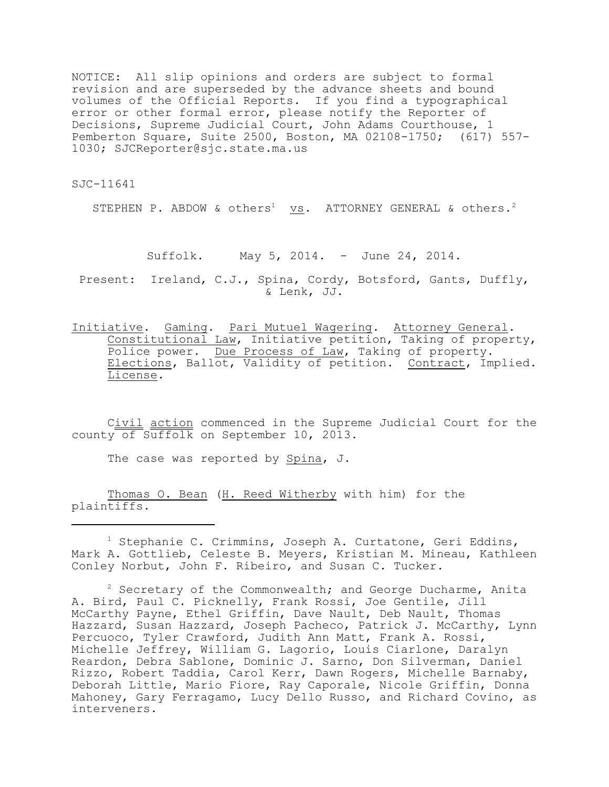NOTICE: All slip opinions and orders are subject to formal revision and are superseded by the advance sheets and bound volumes of the Official Reports. If you find a typographical error or other formal error, please notify the Reporter of Decisions, Supreme Judicial Court, John Adams Courthouse, 1 Pemberton Square, Suite 2500, Boston, MA 02108-1750; (617) 557- 1030; SJCReporter@sjc.state.ma.us

SJC-11641

STEPHEN P. ABDOW & others<sup>1</sup> vs. ATTORNEY GENERAL & others.<sup>2</sup>

Suffolk. May 5, 2014. - June 24, 2014.

Present: Ireland, C.J., Spina, Cordy, Botsford, Gants, Duffly, & Lenk, JJ.

Initiative. Gaming. Pari Mutuel Wagering. Attorney General. Constitutional Law, Initiative petition, Taking of property, Police power. Due Process of Law, Taking of property. Elections, Ballot, Validity of petition. Contract, Implied. License.

Civil action commenced in the Supreme Judicial Court for the county of Suffolk on September 10, 2013.

The case was reported by Spina, J.

Thomas O. Bean (H. Reed Witherby with him) for the plaintiffs.

 $1$  Stephanie C. Crimmins, Joseph A. Curtatone, Geri Eddins, Mark A. Gottlieb, Celeste B. Meyers, Kristian M. Mineau, Kathleen Conley Norbut, John F. Ribeiro, and Susan C. Tucker.

 $2$  Secretary of the Commonwealth; and George Ducharme, Anita A. Bird, Paul C. Picknelly, Frank Rossi, Joe Gentile, Jill McCarthy Payne, Ethel Griffin, Dave Nault, Deb Nault, Thomas Hazzard, Susan Hazzard, Joseph Pacheco, Patrick J. McCarthy, Lynn Percuoco, Tyler Crawford, Judith Ann Matt, Frank A. Rossi, Michelle Jeffrey, William G. Lagorio, Louis Ciarlone, Daralyn Reardon, Debra Sablone, Dominic J. Sarno, Don Silverman, Daniel Rizzo, Robert Taddia, Carol Kerr, Dawn Rogers, Michelle Barnaby, Deborah Little, Mario Fiore, Ray Caporale, Nicole Griffin, Donna Mahoney, Gary Ferragamo, Lucy Dello Russo, and Richard Covino, as interveners.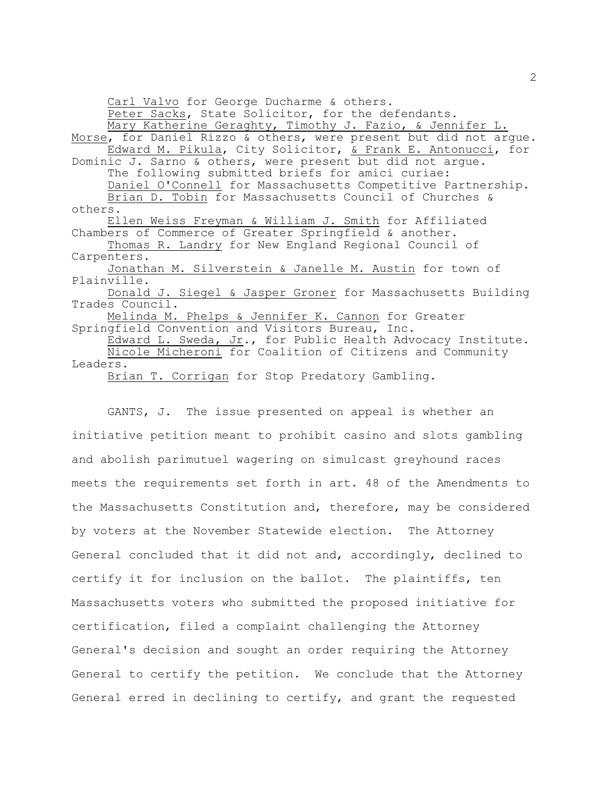Carl Valvo for George Ducharme & others.

Peter Sacks, State Solicitor, for the defendants. Mary Katherine Geraghty, Timothy J. Fazio, & Jennifer L. Morse, for Daniel Rizzo & others, were present but did not argue. Edward M. Pikula, City Solicitor, & Frank E. Antonucci, for Dominic J. Sarno & others, were present but did not argue. The following submitted briefs for amici curiae: Daniel O'Connell for Massachusetts Competitive Partnership. Brian D. Tobin for Massachusetts Council of Churches & others. Ellen Weiss Freyman & William J. Smith for Affiliated Chambers of Commerce of Greater Springfield & another. Thomas R. Landry for New England Regional Council of Carpenters. Jonathan M. Silverstein & Janelle M. Austin for town of Plainville. Donald J. Siegel & Jasper Groner for Massachusetts Building Trades Council. Melinda M. Phelps & Jennifer K. Cannon for Greater Springfield Convention and Visitors Bureau, Inc. Edward L. Sweda, Jr., for Public Health Advocacy Institute. Nicole Micheroni for Coalition of Citizens and Community Leaders. Brian T. Corrigan for Stop Predatory Gambling.

GANTS, J. The issue presented on appeal is whether an initiative petition meant to prohibit casino and slots gambling and abolish parimutuel wagering on simulcast greyhound races meets the requirements set forth in art. 48 of the Amendments to the Massachusetts Constitution and, therefore, may be considered by voters at the November Statewide election. The Attorney General concluded that it did not and, accordingly, declined to certify it for inclusion on the ballot. The plaintiffs, ten Massachusetts voters who submitted the proposed initiative for certification, filed a complaint challenging the Attorney General's decision and sought an order requiring the Attorney General to certify the petition. We conclude that the Attorney General erred in declining to certify, and grant the requested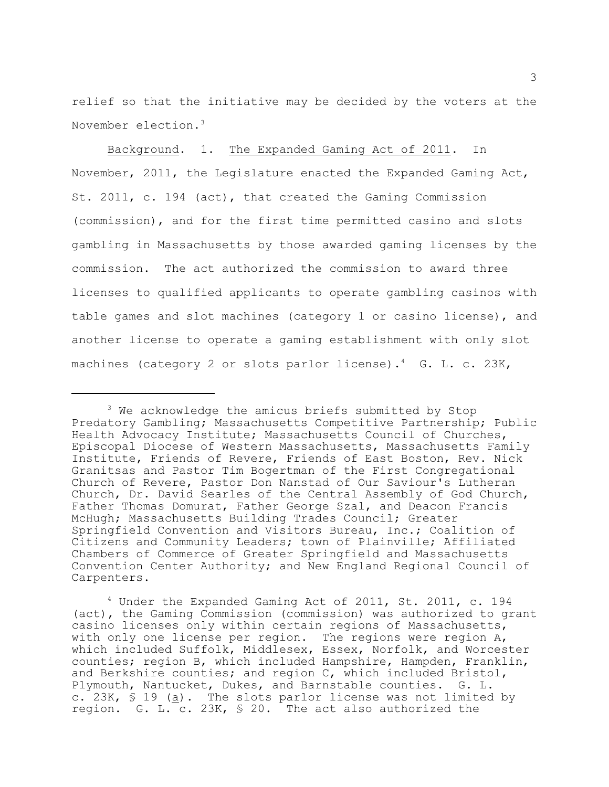relief so that the initiative may be decided by the voters at the November election.<sup>3</sup>

Background. 1. The Expanded Gaming Act of 2011. In November, 2011, the Legislature enacted the Expanded Gaming Act, St. 2011, c. 194 (act), that created the Gaming Commission (commission), and for the first time permitted casino and slots gambling in Massachusetts by those awarded gaming licenses by the commission. The act authorized the commission to award three licenses to qualified applicants to operate gambling casinos with table games and slot machines (category 1 or casino license), and another license to operate a gaming establishment with only slot machines (category 2 or slots parlor license).<sup>4</sup> G. L. c. 23K,

 $3$  We acknowledge the amicus briefs submitted by Stop Predatory Gambling; Massachusetts Competitive Partnership; Public Health Advocacy Institute; Massachusetts Council of Churches, Episcopal Diocese of Western Massachusetts, Massachusetts Family Institute, Friends of Revere, Friends of East Boston, Rev. Nick Granitsas and Pastor Tim Bogertman of the First Congregational Church of Revere, Pastor Don Nanstad of Our Saviour's Lutheran Church, Dr. David Searles of the Central Assembly of God Church, Father Thomas Domurat, Father George Szal, and Deacon Francis McHugh; Massachusetts Building Trades Council; Greater Springfield Convention and Visitors Bureau, Inc.; Coalition of Citizens and Community Leaders; town of Plainville; Affiliated Chambers of Commerce of Greater Springfield and Massachusetts Convention Center Authority; and New England Regional Council of Carpenters.

 $4$  Under the Expanded Gaming Act of 2011, St. 2011, c. 194 (act), the Gaming Commission (commission) was authorized to grant casino licenses only within certain regions of Massachusetts, with only one license per region. The regions were region A, which included Suffolk, Middlesex, Essex, Norfolk, and Worcester counties; region B, which included Hampshire, Hampden, Franklin, and Berkshire counties; and region C, which included Bristol, Plymouth, Nantucket, Dukes, and Barnstable counties. G. L. c. 23K, § 19 (a). The slots parlor license was not limited by region. G. L.  $c. 23K$ ,  $\frac{1}{20}$ . The act also authorized the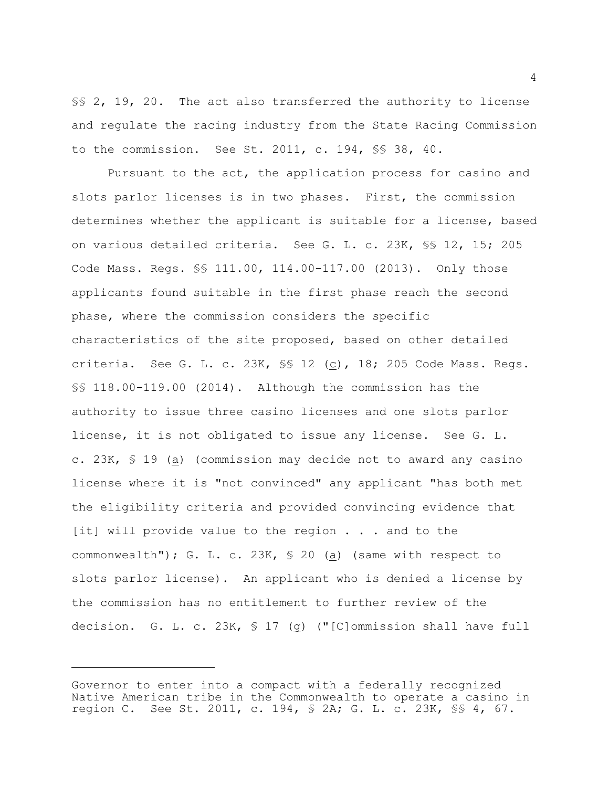§§ 2, 19, 20. The act also transferred the authority to license and regulate the racing industry from the State Racing Commission to the commission. See St. 2011, c. 194, §§ 38, 40.

Pursuant to the act, the application process for casino and slots parlor licenses is in two phases. First, the commission determines whether the applicant is suitable for a license, based on various detailed criteria. See G. L. c. 23K, §§ 12, 15; 205 Code Mass. Regs. §§ 111.00, 114.00-117.00 (2013). Only those applicants found suitable in the first phase reach the second phase, where the commission considers the specific characteristics of the site proposed, based on other detailed criteria. See G. L. c. 23K, §§ 12 (c), 18; 205 Code Mass. Regs. §§ 118.00-119.00 (2014). Although the commission has the authority to issue three casino licenses and one slots parlor license, it is not obligated to issue any license. See G. L. c. 23K, § 19 (a) (commission may decide not to award any casino license where it is "not convinced" any applicant "has both met the eligibility criteria and provided convincing evidence that [it] will provide value to the region . . . and to the commonwealth"); G. L. c. 23K, § 20 (a) (same with respect to slots parlor license). An applicant who is denied a license by the commission has no entitlement to further review of the decision. G. L. c. 23K,  $\frac{1}{2}$  (9) ("[C]ommission shall have full

Governor to enter into a compact with a federally recognized Native American tribe in the Commonwealth to operate a casino in region C. See St. 2011, c. 194, § 2A; G. L. c. 23K, §§ 4, 67.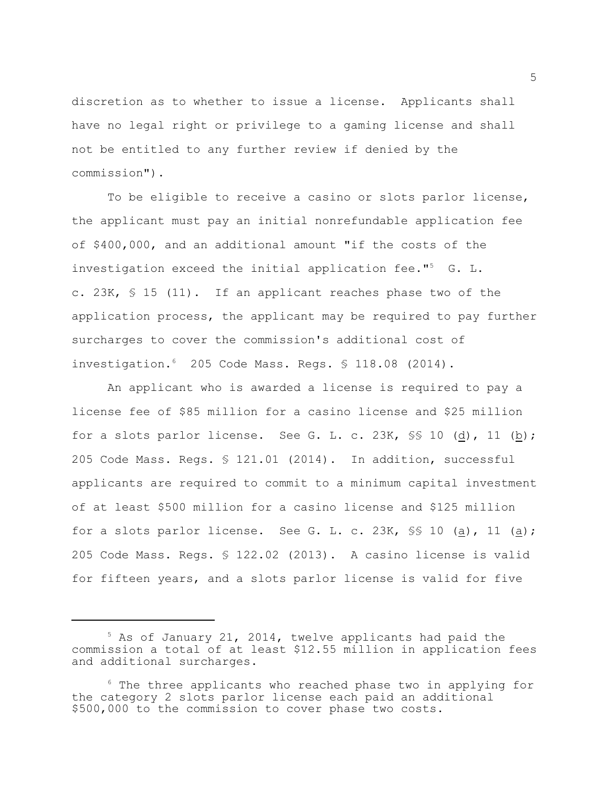discretion as to whether to issue a license. Applicants shall have no legal right or privilege to a gaming license and shall not be entitled to any further review if denied by the commission").

To be eligible to receive a casino or slots parlor license, the applicant must pay an initial nonrefundable application fee of \$400,000, and an additional amount "if the costs of the investigation exceed the initial application fee."<sup>5</sup>  $G. L.$ c. 23K, § 15 (11). If an applicant reaches phase two of the application process, the applicant may be required to pay further surcharges to cover the commission's additional cost of investigation.  $6205$  Code Mass. Regs.  $$118.08$  (2014).

An applicant who is awarded a license is required to pay a license fee of \$85 million for a casino license and \$25 million for a slots parlor license. See G. L. c. 23K,  $\frac{10}{10}$  (d), 11 (b); 205 Code Mass. Regs. § 121.01 (2014). In addition, successful applicants are required to commit to a minimum capital investment of at least \$500 million for a casino license and \$125 million for a slots parlor license. See G. L. c. 23K,  $\frac{10}{10}$  (a), 11 (a); 205 Code Mass. Regs. § 122.02 (2013). A casino license is valid for fifteen years, and a slots parlor license is valid for five

 $5$  As of January 21, 2014, twelve applicants had paid the commission a total of at least \$12.55 million in application fees and additional surcharges.

 $6$  The three applicants who reached phase two in applying for the category 2 slots parlor license each paid an additional \$500,000 to the commission to cover phase two costs.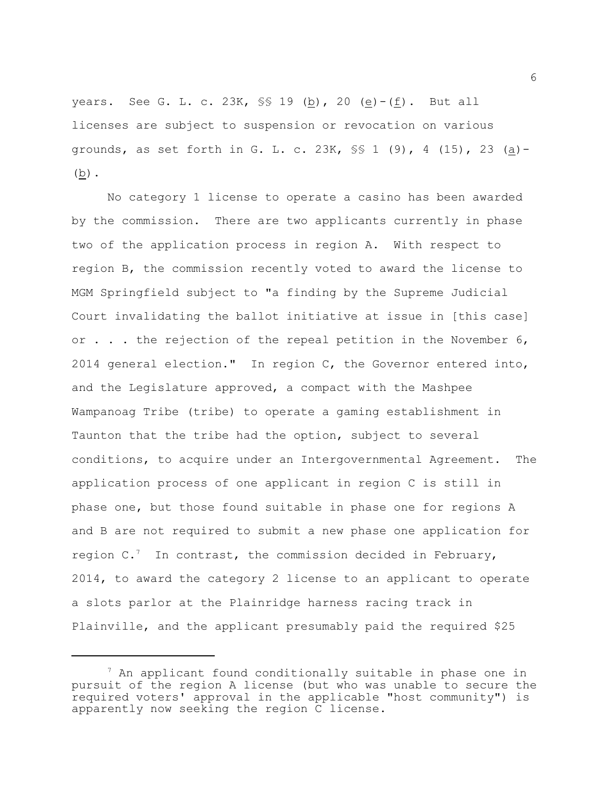years. See G. L. c. 23K,  $\frac{100}{120}$  (b), 20 (e)-(f). But all licenses are subject to suspension or revocation on various grounds, as set forth in G. L. c.  $23K$ ,  $\S$   $\S$   $1$  (9),  $4$  (15),  $23$  (a)- $(\underline{b})$ .

No category 1 license to operate a casino has been awarded by the commission. There are two applicants currently in phase two of the application process in region A. With respect to region B, the commission recently voted to award the license to MGM Springfield subject to "a finding by the Supreme Judicial Court invalidating the ballot initiative at issue in [this case] or . . . the rejection of the repeal petition in the November 6, 2014 general election." In region C, the Governor entered into, and the Legislature approved, a compact with the Mashpee Wampanoag Tribe (tribe) to operate a gaming establishment in Taunton that the tribe had the option, subject to several conditions, to acquire under an Intergovernmental Agreement. The application process of one applicant in region C is still in phase one, but those found suitable in phase one for regions A and B are not required to submit a new phase one application for region  $C$ . In contrast, the commission decided in February, 2014, to award the category 2 license to an applicant to operate a slots parlor at the Plainridge harness racing track in Plainville, and the applicant presumably paid the required \$25

 $^7$  An applicant found conditionally suitable in phase one in pursuit of the region A license (but who was unable to secure the required voters' approval in the applicable "host community") is apparently now seeking the region C license.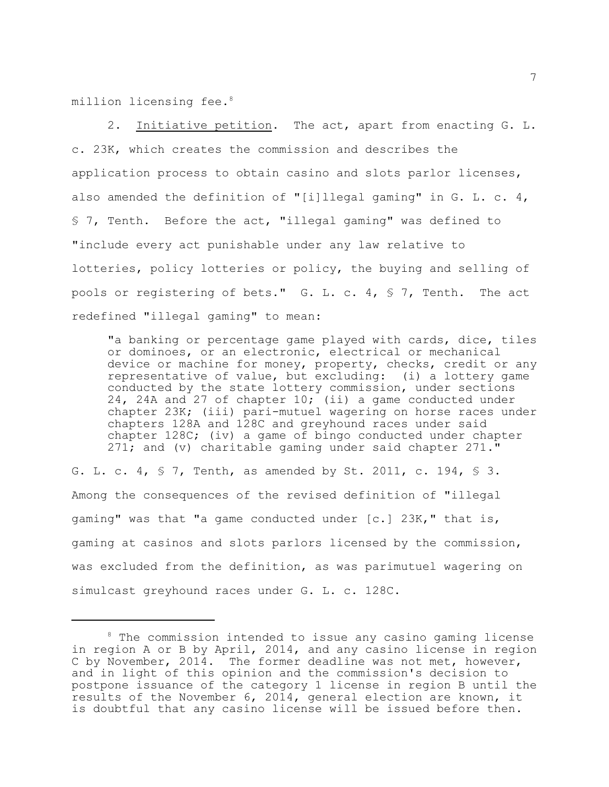million licensing fee.<sup>8</sup>

2. Initiative petition. The act, apart from enacting G. L. c. 23K, which creates the commission and describes the application process to obtain casino and slots parlor licenses, also amended the definition of "[i]llegal gaming" in G. L. c. 4, § 7, Tenth. Before the act, "illegal gaming" was defined to "include every act punishable under any law relative to lotteries, policy lotteries or policy, the buying and selling of pools or registering of bets." G. L. c. 4, § 7, Tenth. The act redefined "illegal gaming" to mean:

"a banking or percentage game played with cards, dice, tiles or dominoes, or an electronic, electrical or mechanical device or machine for money, property, checks, credit or any representative of value, but excluding: (i) a lottery game conducted by the state lottery commission, under sections 24, 24A and 27 of chapter 10; (ii) a game conducted under chapter 23K; (iii) pari-mutuel wagering on horse races under chapters 128A and 128C and greyhound races under said chapter 128C; (iv) a game of bingo conducted under chapter 271; and (v) charitable gaming under said chapter 271."

G. L. c. 4,  $\frac{1}{5}$  7, Tenth, as amended by St. 2011, c. 194,  $\frac{1}{5}$  3. Among the consequences of the revised definition of "illegal gaming" was that "a game conducted under [c.] 23K," that is, gaming at casinos and slots parlors licensed by the commission, was excluded from the definition, as was parimutuel wagering on simulcast greyhound races under G. L. c. 128C.

 $8$  The commission intended to issue any casino gaming license in region A or B by April, 2014, and any casino license in region C by November, 2014. The former deadline was not met, however, and in light of this opinion and the commission's decision to postpone issuance of the category 1 license in region B until the results of the November 6, 2014, general election are known, it is doubtful that any casino license will be issued before then.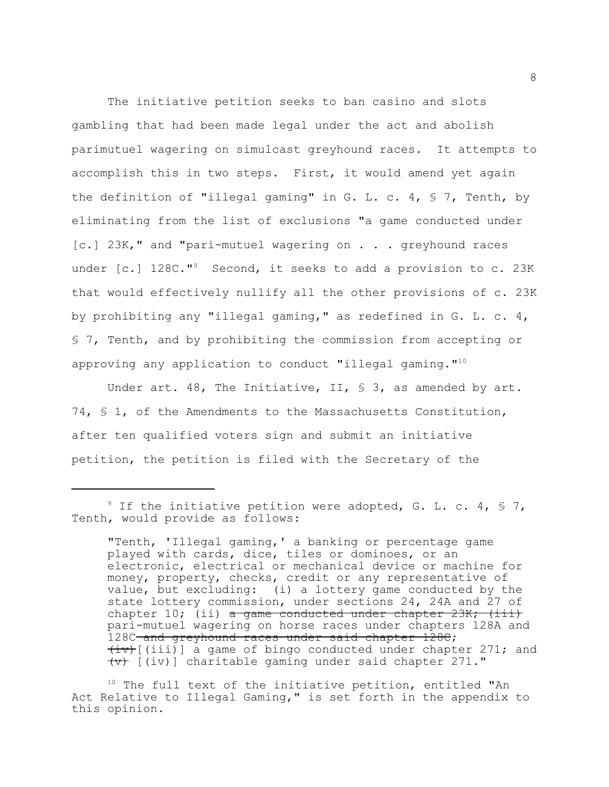The initiative petition seeks to ban casino and slots gambling that had been made legal under the act and abolish parimutuel wagering on simulcast greyhound races. It attempts to accomplish this in two steps. First, it would amend yet again the definition of "illegal gaming" in G. L. c. 4,  $\frac{1}{5}$  7, Tenth, by eliminating from the list of exclusions "a game conducted under [c.] 23K," and "pari-mutuel wagering on . . . greyhound races under  $[c.]$  128C."<sup>9</sup> Second, it seeks to add a provision to c. 23K that would effectively nullify all the other provisions of c. 23K by prohibiting any "illegal gaming," as redefined in G. L. c. 4, § 7, Tenth, and by prohibiting the commission from accepting or approving any application to conduct "illegal gaming."<sup>10</sup>

Under art. 48, The Initiative, II,  $\frac{1}{5}$  3, as amended by art. 74, § 1, of the Amendments to the Massachusetts Constitution, after ten qualified voters sign and submit an initiative petition, the petition is filed with the Secretary of the

<sup>&</sup>lt;sup>9</sup> If the initiative petition were adopted, G. L. c. 4,  $\frac{1}{9}$  7, Tenth, would provide as follows:

<sup>&</sup>quot;Tenth, 'Illegal gaming,' a banking or percentage game played with cards, dice, tiles or dominoes, or an electronic, electrical or mechanical device or machine for money, property, checks, credit or any representative of value, but excluding: (i) a lottery game conducted by the state lottery commission, under sections 24, 24A and 27 of chapter 10; (ii)  $\alpha$  game conducted under chapter 23K; (iii) pari-mutuel wagering on horse races under chapters 128A and 128C and greyhound races under said chapter 128C;  $\overline{(iv)}$ [(iii)] a game of bingo conducted under chapter 271; and  $\overline{(v)}$  [(iv)] charitable gaming under said chapter 271."

 $10$  The full text of the initiative petition, entitled "An Act Relative to Illegal Gaming," is set forth in the appendix to this opinion.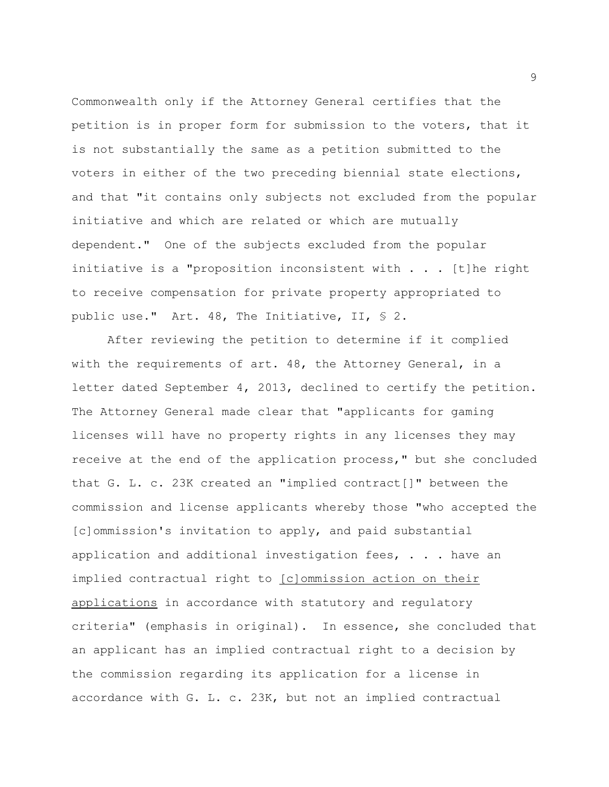Commonwealth only if the Attorney General certifies that the petition is in proper form for submission to the voters, that it is not substantially the same as a petition submitted to the voters in either of the two preceding biennial state elections, and that "it contains only subjects not excluded from the popular initiative and which are related or which are mutually dependent." One of the subjects excluded from the popular initiative is a "proposition inconsistent with . . . [t]he right to receive compensation for private property appropriated to public use." Art. 48, The Initiative, II, § 2.

After reviewing the petition to determine if it complied with the requirements of art. 48, the Attorney General, in a letter dated September 4, 2013, declined to certify the petition. The Attorney General made clear that "applicants for gaming licenses will have no property rights in any licenses they may receive at the end of the application process," but she concluded that G. L. c. 23K created an "implied contract[]" between the commission and license applicants whereby those "who accepted the [c]ommission's invitation to apply, and paid substantial application and additional investigation fees,  $\cdot \cdot \cdot$  have an implied contractual right to [c]ommission action on their applications in accordance with statutory and regulatory criteria" (emphasis in original). In essence, she concluded that an applicant has an implied contractual right to a decision by the commission regarding its application for a license in accordance with G. L. c. 23K, but not an implied contractual

9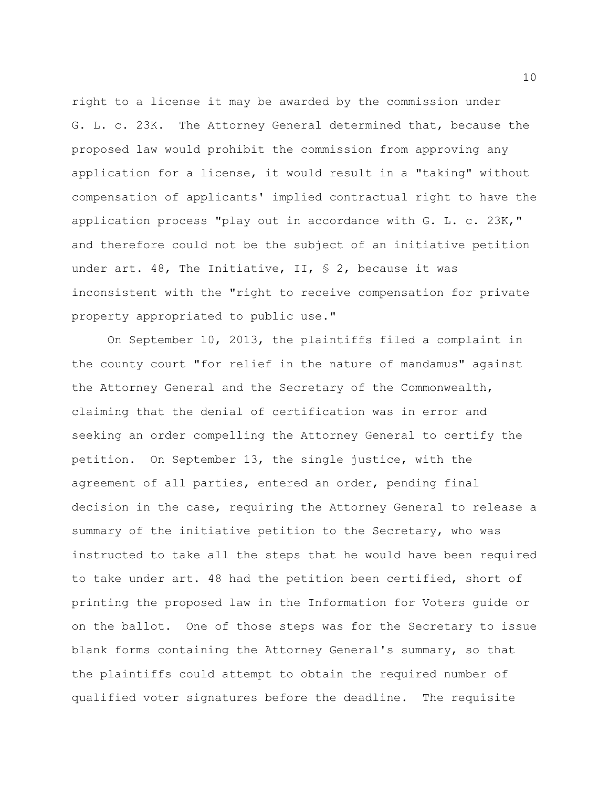right to a license it may be awarded by the commission under G. L. c. 23K. The Attorney General determined that, because the proposed law would prohibit the commission from approving any application for a license, it would result in a "taking" without compensation of applicants' implied contractual right to have the application process "play out in accordance with G. L. c. 23K," and therefore could not be the subject of an initiative petition under art. 48, The Initiative, II,  $\frac{1}{2}$  S 2, because it was inconsistent with the "right to receive compensation for private property appropriated to public use."

On September 10, 2013, the plaintiffs filed a complaint in the county court "for relief in the nature of mandamus" against the Attorney General and the Secretary of the Commonwealth, claiming that the denial of certification was in error and seeking an order compelling the Attorney General to certify the petition. On September 13, the single justice, with the agreement of all parties, entered an order, pending final decision in the case, requiring the Attorney General to release a summary of the initiative petition to the Secretary, who was instructed to take all the steps that he would have been required to take under art. 48 had the petition been certified, short of printing the proposed law in the Information for Voters guide or on the ballot. One of those steps was for the Secretary to issue blank forms containing the Attorney General's summary, so that the plaintiffs could attempt to obtain the required number of qualified voter signatures before the deadline. The requisite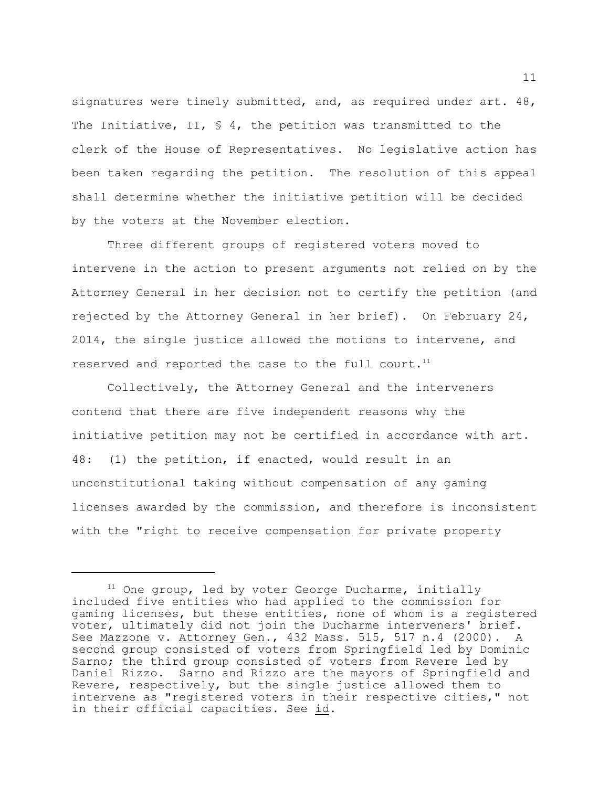signatures were timely submitted, and, as required under art. 48, The Initiative, II,  $\frac{1}{5}$  4, the petition was transmitted to the clerk of the House of Representatives. No legislative action has been taken regarding the petition. The resolution of this appeal shall determine whether the initiative petition will be decided by the voters at the November election.

Three different groups of registered voters moved to intervene in the action to present arguments not relied on by the Attorney General in her decision not to certify the petition (and rejected by the Attorney General in her brief). On February 24, 2014, the single justice allowed the motions to intervene, and reserved and reported the case to the full court.<sup>11</sup>

Collectively, the Attorney General and the interveners contend that there are five independent reasons why the initiative petition may not be certified in accordance with art. 48: (1) the petition, if enacted, would result in an unconstitutional taking without compensation of any gaming licenses awarded by the commission, and therefore is inconsistent with the "right to receive compensation for private property

 $11$  One group, led by voter George Ducharme, initially included five entities who had applied to the commission for gaming licenses, but these entities, none of whom is a registered voter, ultimately did not join the Ducharme interveners' brief. See Mazzone v. Attorney Gen., 432 Mass. 515, 517 n.4 (2000). A second group consisted of voters from Springfield led by Dominic Sarno; the third group consisted of voters from Revere led by Daniel Rizzo. Sarno and Rizzo are the mayors of Springfield and Revere, respectively, but the single justice allowed them to intervene as "registered voters in their respective cities," not in their official capacities. See id.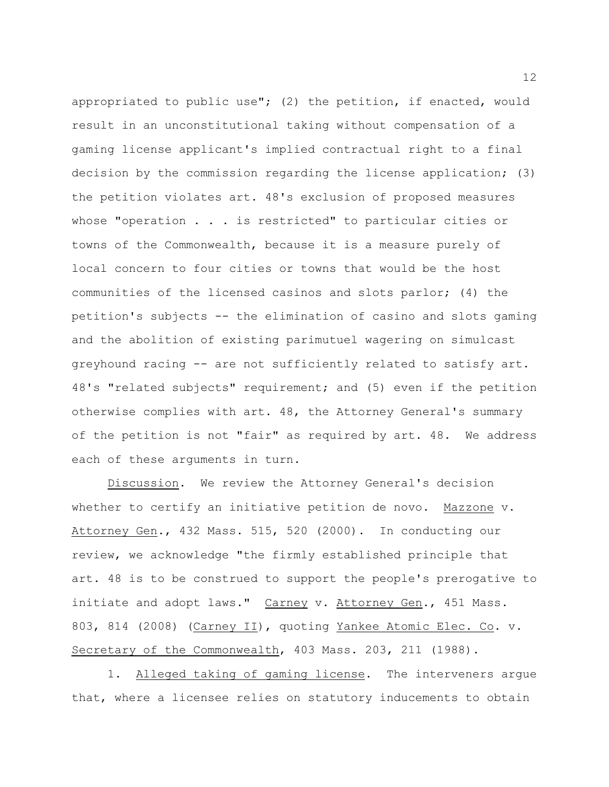appropriated to public use"; (2) the petition, if enacted, would result in an unconstitutional taking without compensation of a gaming license applicant's implied contractual right to a final decision by the commission regarding the license application; (3) the petition violates art. 48's exclusion of proposed measures whose "operation  $\ldots$  . is restricted" to particular cities or towns of the Commonwealth, because it is a measure purely of local concern to four cities or towns that would be the host communities of the licensed casinos and slots parlor; (4) the petition's subjects -- the elimination of casino and slots gaming and the abolition of existing parimutuel wagering on simulcast greyhound racing -- are not sufficiently related to satisfy art. 48's "related subjects" requirement; and (5) even if the petition otherwise complies with art. 48, the Attorney General's summary of the petition is not "fair" as required by art. 48. We address each of these arguments in turn.

Discussion. We review the Attorney General's decision whether to certify an initiative petition de novo. Mazzone v. Attorney Gen., 432 Mass. 515, 520 (2000). In conducting our review, we acknowledge "the firmly established principle that art. 48 is to be construed to support the people's prerogative to initiate and adopt laws." Carney v. Attorney Gen., 451 Mass. 803, 814 (2008) (Carney II), quoting Yankee Atomic Elec. Co. v. Secretary of the Commonwealth, 403 Mass. 203, 211 (1988).

1. Alleged taking of gaming license. The interveners argue that, where a licensee relies on statutory inducements to obtain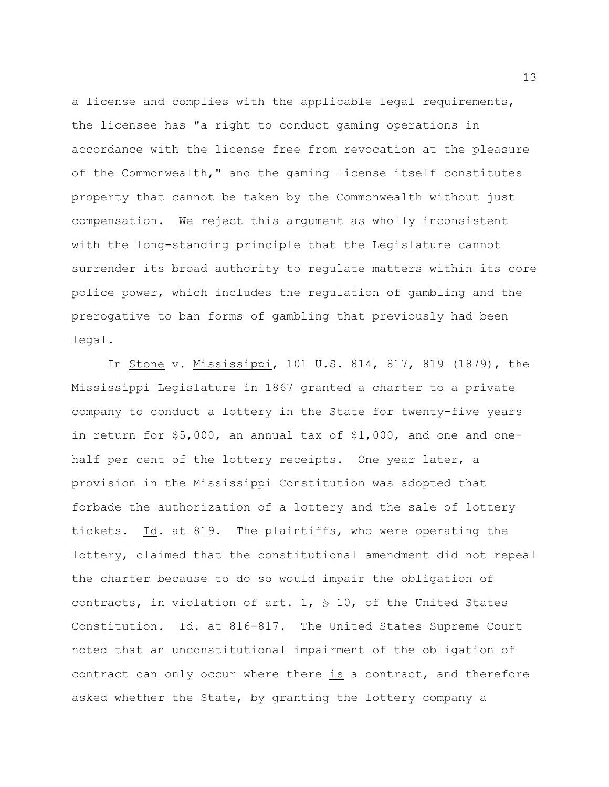a license and complies with the applicable legal requirements, the licensee has "a right to conduct gaming operations in accordance with the license free from revocation at the pleasure of the Commonwealth," and the gaming license itself constitutes property that cannot be taken by the Commonwealth without just compensation. We reject this argument as wholly inconsistent with the long-standing principle that the Legislature cannot surrender its broad authority to regulate matters within its core police power, which includes the regulation of gambling and the prerogative to ban forms of gambling that previously had been legal.

In Stone v. Mississippi, 101 U.S. 814, 817, 819 (1879), the Mississippi Legislature in 1867 granted a charter to a private company to conduct a lottery in the State for twenty-five years in return for \$5,000, an annual tax of \$1,000, and one and onehalf per cent of the lottery receipts. One year later, a provision in the Mississippi Constitution was adopted that forbade the authorization of a lottery and the sale of lottery tickets. Id. at 819. The plaintiffs, who were operating the lottery, claimed that the constitutional amendment did not repeal the charter because to do so would impair the obligation of contracts, in violation of art. 1, § 10, of the United States Constitution. Id. at 816-817. The United States Supreme Court noted that an unconstitutional impairment of the obligation of contract can only occur where there is a contract, and therefore asked whether the State, by granting the lottery company a

13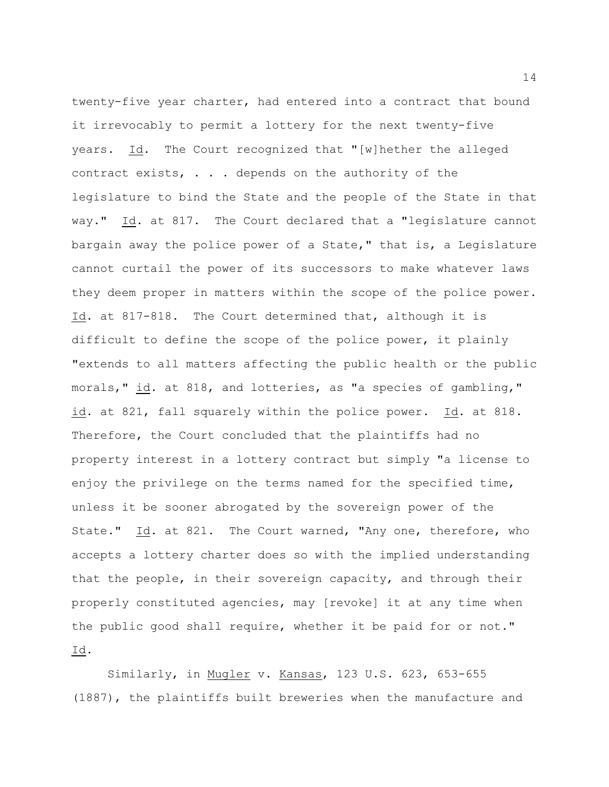twenty-five year charter, had entered into a contract that bound it irrevocably to permit a lottery for the next twenty-five years. Id. The Court recognized that "[w]hether the alleged contract exists, . . . depends on the authority of the legislature to bind the State and the people of the State in that way." Id. at 817. The Court declared that a "legislature cannot bargain away the police power of a State," that is, a Legislature cannot curtail the power of its successors to make whatever laws they deem proper in matters within the scope of the police power. Id. at 817-818. The Court determined that, although it is difficult to define the scope of the police power, it plainly "extends to all matters affecting the public health or the public morals," id. at 818, and lotteries, as "a species of gambling," id. at 821, fall squarely within the police power. Id. at 818. Therefore, the Court concluded that the plaintiffs had no property interest in a lottery contract but simply "a license to enjoy the privilege on the terms named for the specified time, unless it be sooner abrogated by the sovereign power of the State." Id. at 821. The Court warned, "Any one, therefore, who accepts a lottery charter does so with the implied understanding that the people, in their sovereign capacity, and through their properly constituted agencies, may [revoke] it at any time when the public good shall require, whether it be paid for or not." Id.

Similarly, in Mugler v. Kansas, 123 U.S. 623, 653-655 (1887), the plaintiffs built breweries when the manufacture and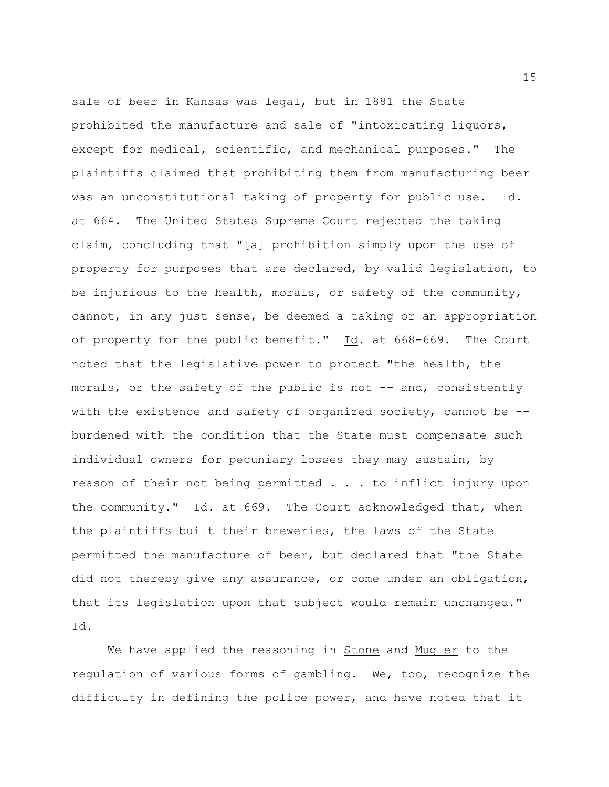sale of beer in Kansas was legal, but in 1881 the State prohibited the manufacture and sale of "intoxicating liquors, except for medical, scientific, and mechanical purposes." The plaintiffs claimed that prohibiting them from manufacturing beer was an unconstitutional taking of property for public use. Id. at 664. The United States Supreme Court rejected the taking claim, concluding that "[a] prohibition simply upon the use of property for purposes that are declared, by valid legislation, to be injurious to the health, morals, or safety of the community, cannot, in any just sense, be deemed a taking or an appropriation of property for the public benefit." Id. at 668-669. The Court noted that the legislative power to protect "the health, the morals, or the safety of the public is not -- and, consistently with the existence and safety of organized society, cannot be -burdened with the condition that the State must compensate such individual owners for pecuniary losses they may sustain, by reason of their not being permitted . . . to inflict injury upon the community." Id. at 669. The Court acknowledged that, when the plaintiffs built their breweries, the laws of the State permitted the manufacture of beer, but declared that "the State did not thereby give any assurance, or come under an obligation, that its legislation upon that subject would remain unchanged." Id.

We have applied the reasoning in Stone and Mugler to the regulation of various forms of gambling. We, too, recognize the difficulty in defining the police power, and have noted that it

15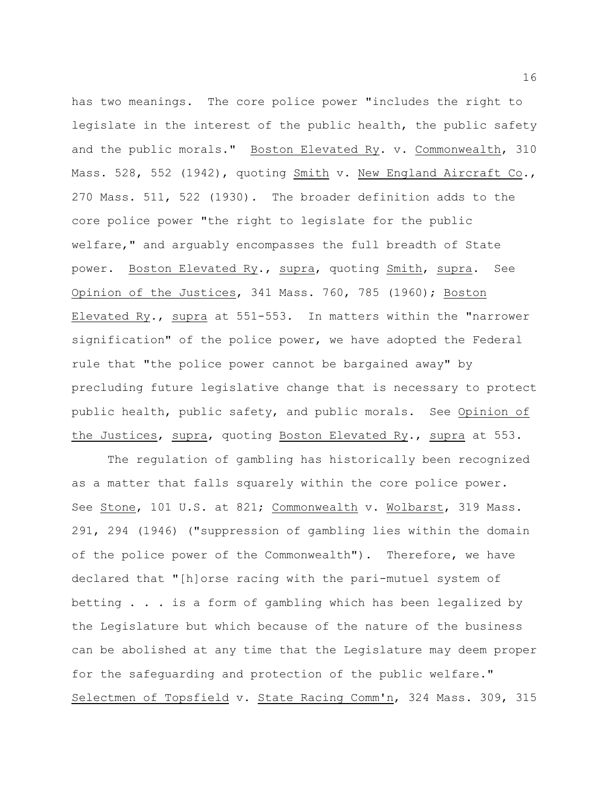has two meanings. The core police power "includes the right to legislate in the interest of the public health, the public safety and the public morals." Boston Elevated Ry. v. Commonwealth, 310 Mass. 528, 552 (1942), quoting Smith v. New England Aircraft Co., 270 Mass. 511, 522 (1930). The broader definition adds to the core police power "the right to legislate for the public welfare," and arguably encompasses the full breadth of State power. Boston Elevated Ry., supra, quoting Smith, supra. See Opinion of the Justices, 341 Mass. 760, 785 (1960); Boston Elevated Ry., supra at 551-553. In matters within the "narrower signification" of the police power, we have adopted the Federal rule that "the police power cannot be bargained away" by precluding future legislative change that is necessary to protect public health, public safety, and public morals. See Opinion of the Justices, supra, quoting Boston Elevated Ry., supra at 553.

The regulation of gambling has historically been recognized as a matter that falls squarely within the core police power. See Stone, 101 U.S. at 821; Commonwealth v. Wolbarst, 319 Mass. 291, 294 (1946) ("suppression of gambling lies within the domain of the police power of the Commonwealth"). Therefore, we have declared that "[h]orse racing with the pari-mutuel system of betting . . . is a form of gambling which has been legalized by the Legislature but which because of the nature of the business can be abolished at any time that the Legislature may deem proper for the safeguarding and protection of the public welfare." Selectmen of Topsfield v. State Racing Comm'n, 324 Mass. 309, 315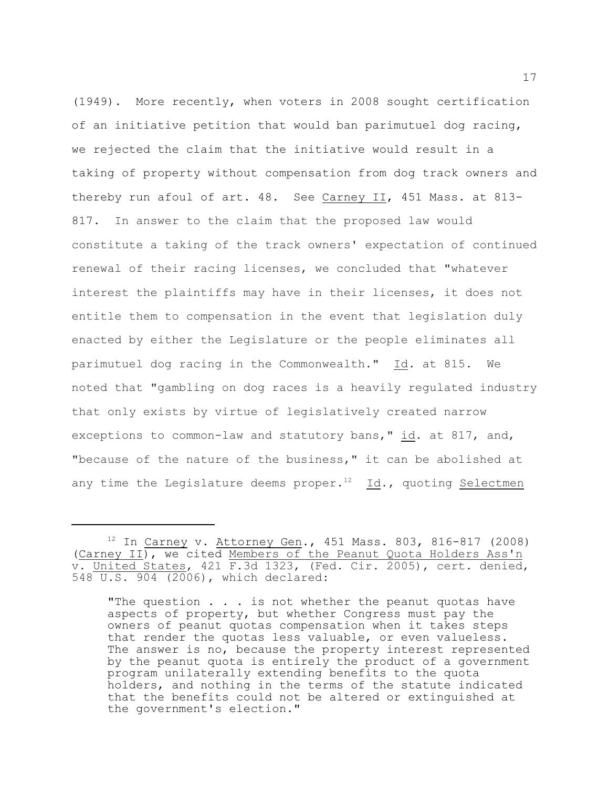(1949). More recently, when voters in 2008 sought certification of an initiative petition that would ban parimutuel dog racing, we rejected the claim that the initiative would result in a taking of property without compensation from dog track owners and thereby run afoul of art. 48. See Carney II, 451 Mass. at 813-817. In answer to the claim that the proposed law would constitute a taking of the track owners' expectation of continued renewal of their racing licenses, we concluded that "whatever interest the plaintiffs may have in their licenses, it does not entitle them to compensation in the event that legislation duly enacted by either the Legislature or the people eliminates all parimutuel dog racing in the Commonwealth." Id. at 815. We noted that "gambling on dog races is a heavily regulated industry that only exists by virtue of legislatively created narrow exceptions to common-law and statutory bans," id. at 817, and, "because of the nature of the business," it can be abolished at any time the Legislature deems proper.<sup>12</sup> Id., quoting Selectmen

 $12$  In Carney v. Attorney Gen., 451 Mass. 803, 816-817 (2008) (Carney II), we cited Members of the Peanut Quota Holders Ass'n v. United States, 421 F.3d 1323, (Fed. Cir. 2005), cert. denied, 548 U.S. 904 (2006), which declared:

<sup>&</sup>quot;The question . . . is not whether the peanut quotas have aspects of property, but whether Congress must pay the owners of peanut quotas compensation when it takes steps that render the quotas less valuable, or even valueless. The answer is no, because the property interest represented by the peanut quota is entirely the product of a government program unilaterally extending benefits to the quota holders, and nothing in the terms of the statute indicated that the benefits could not be altered or extinguished at the government's election."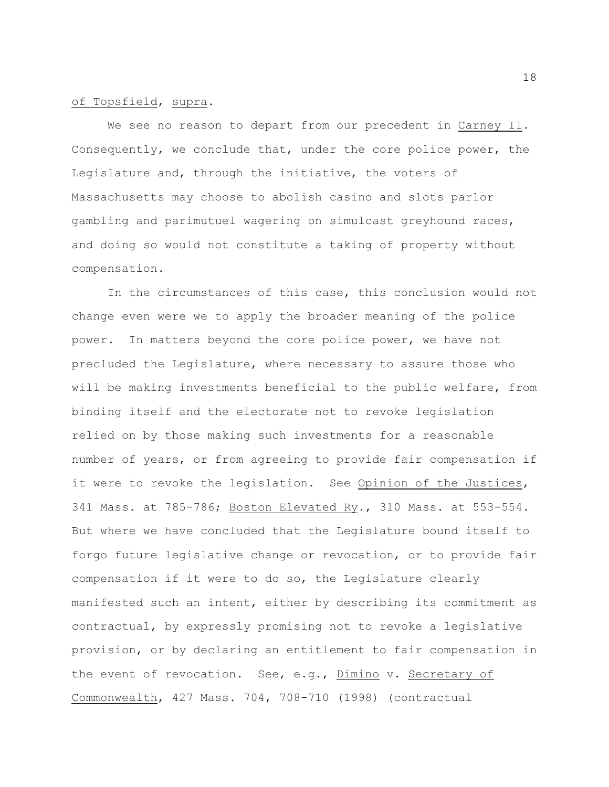## of Topsfield, supra.

We see no reason to depart from our precedent in Carney II. Consequently, we conclude that, under the core police power, the Legislature and, through the initiative, the voters of Massachusetts may choose to abolish casino and slots parlor gambling and parimutuel wagering on simulcast greyhound races, and doing so would not constitute a taking of property without compensation.

In the circumstances of this case, this conclusion would not change even were we to apply the broader meaning of the police power. In matters beyond the core police power, we have not precluded the Legislature, where necessary to assure those who will be making investments beneficial to the public welfare, from binding itself and the electorate not to revoke legislation relied on by those making such investments for a reasonable number of years, or from agreeing to provide fair compensation if it were to revoke the legislation. See Opinion of the Justices, 341 Mass. at 785-786; Boston Elevated Ry., 310 Mass. at 553-554. But where we have concluded that the Legislature bound itself to forgo future legislative change or revocation, or to provide fair compensation if it were to do so, the Legislature clearly manifested such an intent, either by describing its commitment as contractual, by expressly promising not to revoke a legislative provision, or by declaring an entitlement to fair compensation in the event of revocation. See, e.g., Dimino v. Secretary of Commonwealth, 427 Mass. 704, 708-710 (1998) (contractual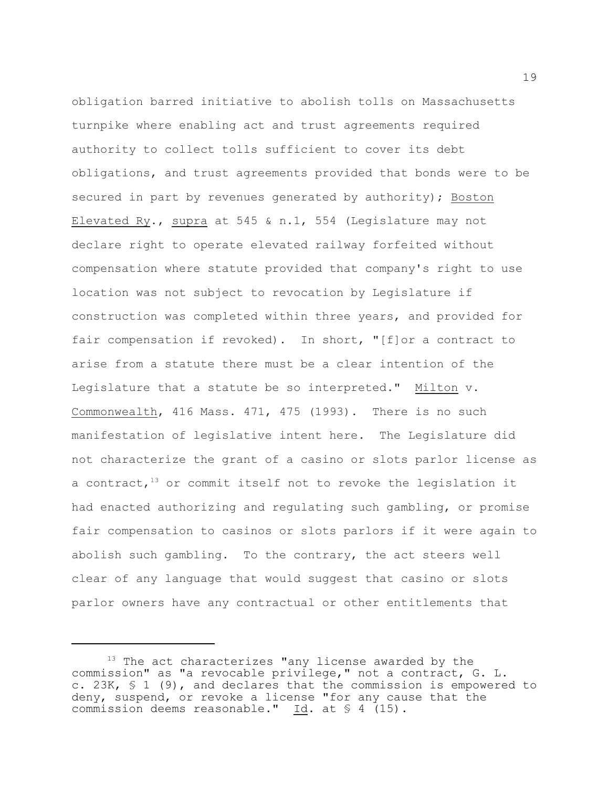obligation barred initiative to abolish tolls on Massachusetts turnpike where enabling act and trust agreements required authority to collect tolls sufficient to cover its debt obligations, and trust agreements provided that bonds were to be secured in part by revenues generated by authority); Boston Elevated Ry., supra at 545 & n.1, 554 (Legislature may not declare right to operate elevated railway forfeited without compensation where statute provided that company's right to use location was not subject to revocation by Legislature if construction was completed within three years, and provided for fair compensation if revoked). In short, "[f]or a contract to arise from a statute there must be a clear intention of the Legislature that a statute be so interpreted." Milton v. Commonwealth, 416 Mass. 471, 475 (1993). There is no such manifestation of legislative intent here. The Legislature did not characterize the grant of a casino or slots parlor license as a contract,  $13$  or commit itself not to revoke the legislation it had enacted authorizing and regulating such gambling, or promise fair compensation to casinos or slots parlors if it were again to abolish such gambling. To the contrary, the act steers well clear of any language that would suggest that casino or slots parlor owners have any contractual or other entitlements that

 $13$  The act characterizes "any license awarded by the commission" as "a revocable privilege," not a contract, G. L. c. 23K, § 1 (9), and declares that the commission is empowered to deny, suspend, or revoke a license "for any cause that the commission deems reasonable." Id. at § 4 (15).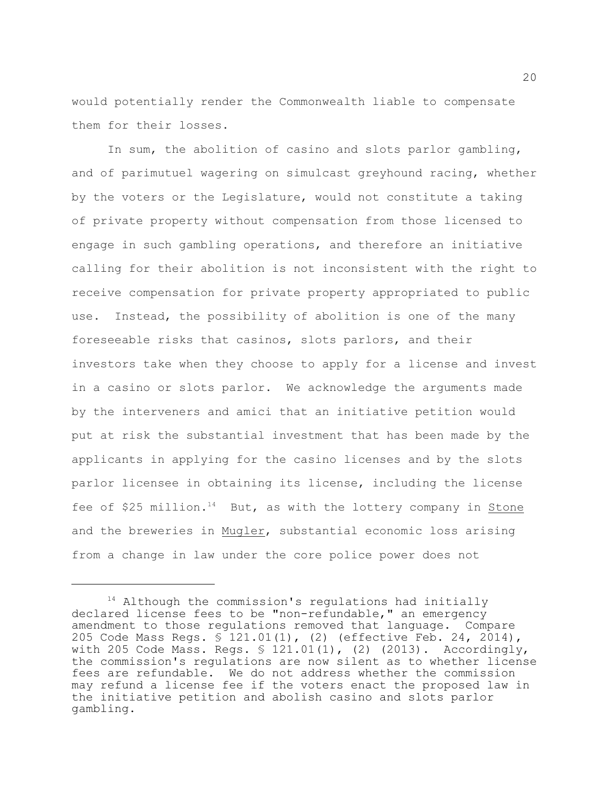would potentially render the Commonwealth liable to compensate them for their losses.

In sum, the abolition of casino and slots parlor gambling, and of parimutuel wagering on simulcast greyhound racing, whether by the voters or the Legislature, would not constitute a taking of private property without compensation from those licensed to engage in such gambling operations, and therefore an initiative calling for their abolition is not inconsistent with the right to receive compensation for private property appropriated to public use. Instead, the possibility of abolition is one of the many foreseeable risks that casinos, slots parlors, and their investors take when they choose to apply for a license and invest in a casino or slots parlor. We acknowledge the arguments made by the interveners and amici that an initiative petition would put at risk the substantial investment that has been made by the applicants in applying for the casino licenses and by the slots parlor licensee in obtaining its license, including the license fee of \$25 million.<sup>14</sup> But, as with the lottery company in Stone and the breweries in Mugler, substantial economic loss arising from a change in law under the core police power does not

 $14$  Although the commission's regulations had initially declared license fees to be "non-refundable," an emergency amendment to those regulations removed that language. Compare 205 Code Mass Regs. § 121.01(1), (2) (effective Feb. 24, 2014), with 205 Code Mass. Regs. § 121.01(1), (2) (2013). Accordingly, the commission's regulations are now silent as to whether license fees are refundable. We do not address whether the commission may refund a license fee if the voters enact the proposed law in the initiative petition and abolish casino and slots parlor gambling.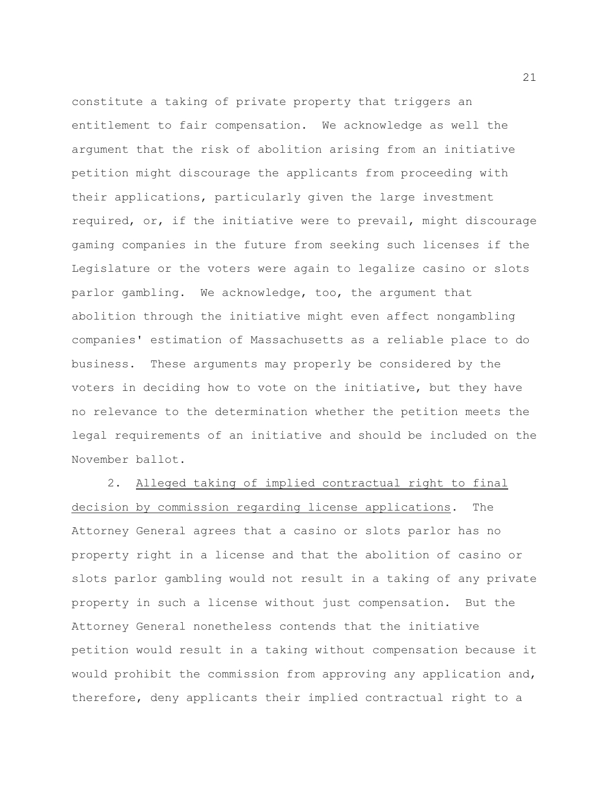constitute a taking of private property that triggers an entitlement to fair compensation. We acknowledge as well the argument that the risk of abolition arising from an initiative petition might discourage the applicants from proceeding with their applications, particularly given the large investment required, or, if the initiative were to prevail, might discourage gaming companies in the future from seeking such licenses if the Legislature or the voters were again to legalize casino or slots parlor gambling. We acknowledge, too, the argument that abolition through the initiative might even affect nongambling companies' estimation of Massachusetts as a reliable place to do business. These arguments may properly be considered by the voters in deciding how to vote on the initiative, but they have no relevance to the determination whether the petition meets the legal requirements of an initiative and should be included on the November ballot.

2. Alleged taking of implied contractual right to final decision by commission regarding license applications. The Attorney General agrees that a casino or slots parlor has no property right in a license and that the abolition of casino or slots parlor gambling would not result in a taking of any private property in such a license without just compensation. But the Attorney General nonetheless contends that the initiative petition would result in a taking without compensation because it would prohibit the commission from approving any application and, therefore, deny applicants their implied contractual right to a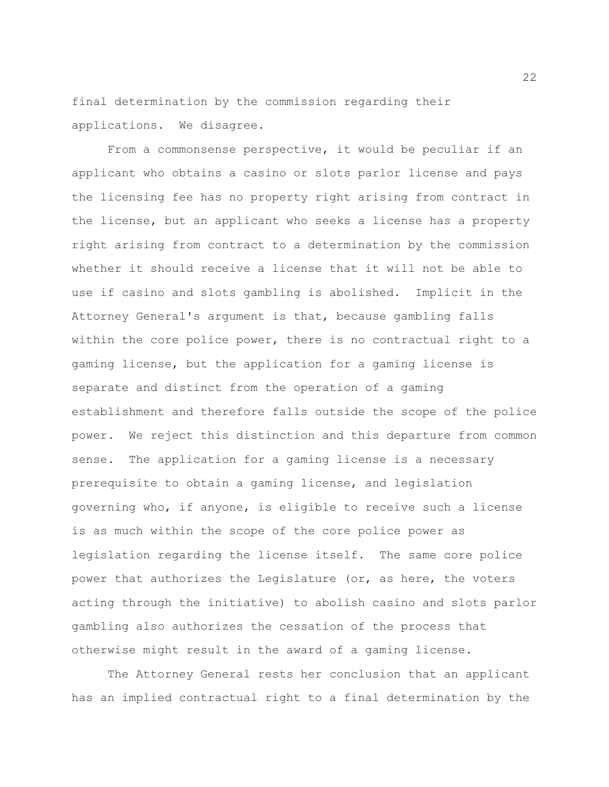final determination by the commission regarding their applications. We disagree.

From a commonsense perspective, it would be peculiar if an applicant who obtains a casino or slots parlor license and pays the licensing fee has no property right arising from contract in the license, but an applicant who seeks a license has a property right arising from contract to a determination by the commission whether it should receive a license that it will not be able to use if casino and slots gambling is abolished. Implicit in the Attorney General's argument is that, because gambling falls within the core police power, there is no contractual right to a gaming license, but the application for a gaming license is separate and distinct from the operation of a gaming establishment and therefore falls outside the scope of the police power. We reject this distinction and this departure from common sense. The application for a gaming license is a necessary prerequisite to obtain a gaming license, and legislation governing who, if anyone, is eligible to receive such a license is as much within the scope of the core police power as legislation regarding the license itself. The same core police power that authorizes the Legislature (or, as here, the voters acting through the initiative) to abolish casino and slots parlor gambling also authorizes the cessation of the process that otherwise might result in the award of a gaming license.

The Attorney General rests her conclusion that an applicant has an implied contractual right to a final determination by the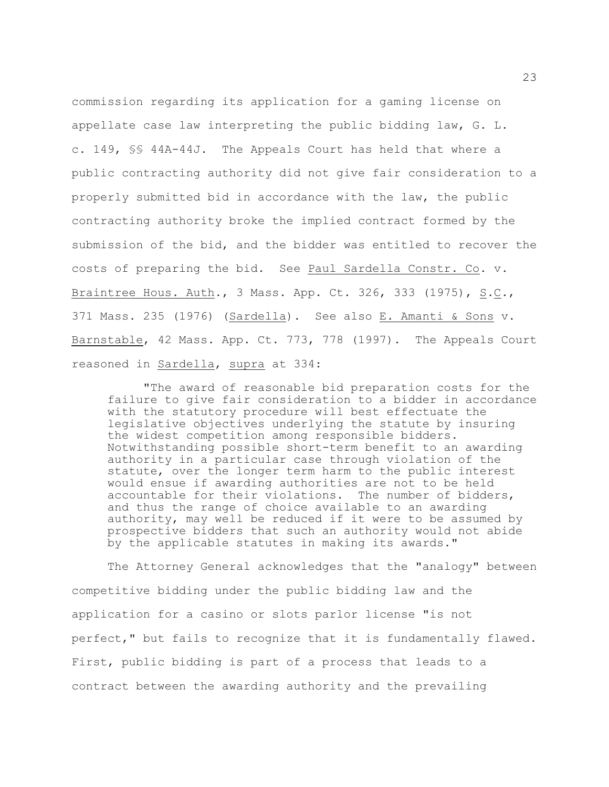commission regarding its application for a gaming license on appellate case law interpreting the public bidding law, G. L. c. 149, §§ 44A-44J. The Appeals Court has held that where a public contracting authority did not give fair consideration to a properly submitted bid in accordance with the law, the public contracting authority broke the implied contract formed by the submission of the bid, and the bidder was entitled to recover the costs of preparing the bid. See Paul Sardella Constr. Co. v. Braintree Hous. Auth., 3 Mass. App. Ct. 326, 333 (1975), S.C., 371 Mass. 235 (1976) (Sardella). See also E. Amanti & Sons v. Barnstable, 42 Mass. App. Ct. 773, 778 (1997). The Appeals Court reasoned in Sardella, supra at 334:

"The award of reasonable bid preparation costs for the failure to give fair consideration to a bidder in accordance with the statutory procedure will best effectuate the legislative objectives underlying the statute by insuring the widest competition among responsible bidders. Notwithstanding possible short-term benefit to an awarding authority in a particular case through violation of the statute, over the longer term harm to the public interest would ensue if awarding authorities are not to be held accountable for their violations. The number of bidders, and thus the range of choice available to an awarding authority, may well be reduced if it were to be assumed by prospective bidders that such an authority would not abide by the applicable statutes in making its awards."

The Attorney General acknowledges that the "analogy" between competitive bidding under the public bidding law and the application for a casino or slots parlor license "is not perfect," but fails to recognize that it is fundamentally flawed. First, public bidding is part of a process that leads to a contract between the awarding authority and the prevailing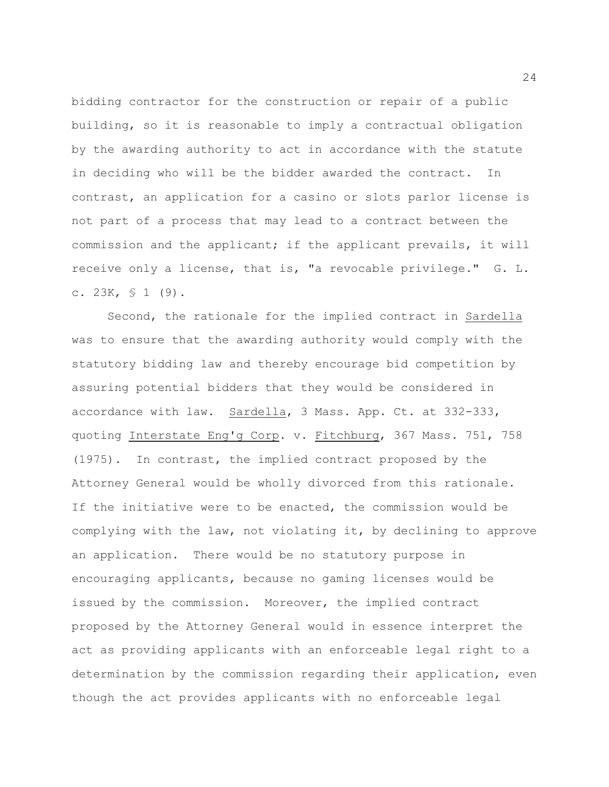bidding contractor for the construction or repair of a public building, so it is reasonable to imply a contractual obligation by the awarding authority to act in accordance with the statute in deciding who will be the bidder awarded the contract. In contrast, an application for a casino or slots parlor license is not part of a process that may lead to a contract between the commission and the applicant; if the applicant prevails, it will receive only a license, that is, "a revocable privilege." G. L. c. 23K,  $\frac{1}{9}$  (9).

Second, the rationale for the implied contract in Sardella was to ensure that the awarding authority would comply with the statutory bidding law and thereby encourage bid competition by assuring potential bidders that they would be considered in accordance with law. Sardella, 3 Mass. App. Ct. at 332-333, quoting Interstate Eng'g Corp. v. Fitchburg, 367 Mass. 751, 758 (1975). In contrast, the implied contract proposed by the Attorney General would be wholly divorced from this rationale. If the initiative were to be enacted, the commission would be complying with the law, not violating it, by declining to approve an application. There would be no statutory purpose in encouraging applicants, because no gaming licenses would be issued by the commission. Moreover, the implied contract proposed by the Attorney General would in essence interpret the act as providing applicants with an enforceable legal right to a determination by the commission regarding their application, even though the act provides applicants with no enforceable legal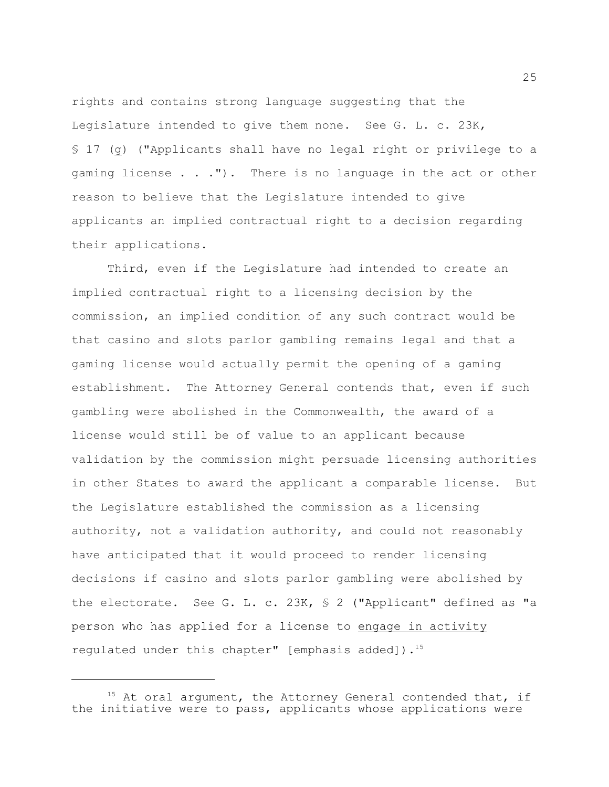rights and contains strong language suggesting that the Legislature intended to give them none. See G. L. c. 23K, § 17 (g) ("Applicants shall have no legal right or privilege to a gaming license . . ."). There is no language in the act or other reason to believe that the Legislature intended to give applicants an implied contractual right to a decision regarding their applications.

Third, even if the Legislature had intended to create an implied contractual right to a licensing decision by the commission, an implied condition of any such contract would be that casino and slots parlor gambling remains legal and that a gaming license would actually permit the opening of a gaming establishment. The Attorney General contends that, even if such gambling were abolished in the Commonwealth, the award of a license would still be of value to an applicant because validation by the commission might persuade licensing authorities in other States to award the applicant a comparable license. But the Legislature established the commission as a licensing authority, not a validation authority, and could not reasonably have anticipated that it would proceed to render licensing decisions if casino and slots parlor gambling were abolished by the electorate. See G. L. c. 23K, § 2 ("Applicant" defined as "a person who has applied for a license to engage in activity regulated under this chapter" [emphasis added]).<sup>15</sup>

25

 $15$  At oral argument, the Attorney General contended that, if the initiative were to pass, applicants whose applications were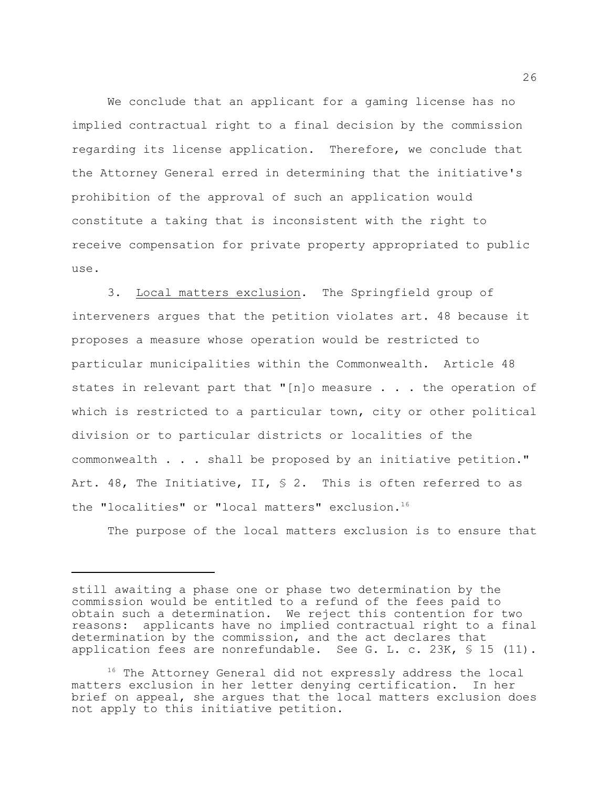We conclude that an applicant for a gaming license has no implied contractual right to a final decision by the commission regarding its license application. Therefore, we conclude that the Attorney General erred in determining that the initiative's prohibition of the approval of such an application would constitute a taking that is inconsistent with the right to receive compensation for private property appropriated to public use.

3. Local matters exclusion. The Springfield group of interveners argues that the petition violates art. 48 because it proposes a measure whose operation would be restricted to particular municipalities within the Commonwealth. Article 48 states in relevant part that "[n]o measure . . . the operation of which is restricted to a particular town, city or other political division or to particular districts or localities of the commonwealth . . . shall be proposed by an initiative petition." Art. 48, The Initiative, II, § 2. This is often referred to as the "localities" or "local matters" exclusion.<sup>16</sup>

The purpose of the local matters exclusion is to ensure that

still awaiting a phase one or phase two determination by the commission would be entitled to a refund of the fees paid to obtain such a determination. We reject this contention for two reasons: applicants have no implied contractual right to a final determination by the commission, and the act declares that application fees are nonrefundable. See G. L. c. 23K,  $\$\ 15\$  (11).

 $16$  The Attorney General did not expressly address the local matters exclusion in her letter denying certification. In her brief on appeal, she argues that the local matters exclusion does not apply to this initiative petition.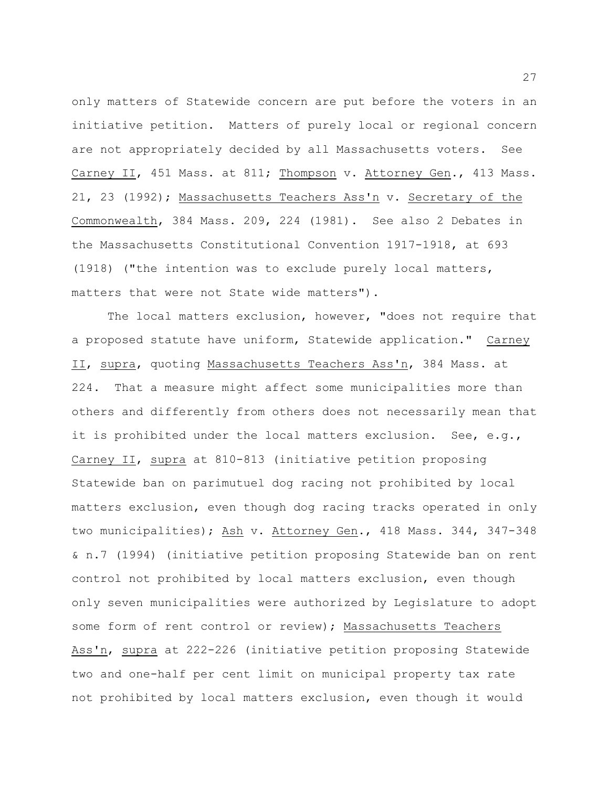only matters of Statewide concern are put before the voters in an initiative petition. Matters of purely local or regional concern are not appropriately decided by all Massachusetts voters. See Carney II, 451 Mass. at 811; Thompson v. Attorney Gen., 413 Mass. 21, 23 (1992); Massachusetts Teachers Ass'n v. Secretary of the Commonwealth, 384 Mass. 209, 224 (1981). See also 2 Debates in the Massachusetts Constitutional Convention 1917-1918, at 693 (1918) ("the intention was to exclude purely local matters, matters that were not State wide matters").

The local matters exclusion, however, "does not require that a proposed statute have uniform, Statewide application." Carney II, supra, quoting Massachusetts Teachers Ass'n, 384 Mass. at 224. That a measure might affect some municipalities more than others and differently from others does not necessarily mean that it is prohibited under the local matters exclusion. See, e.g., Carney II, supra at 810-813 (initiative petition proposing Statewide ban on parimutuel dog racing not prohibited by local matters exclusion, even though dog racing tracks operated in only two municipalities); Ash v. Attorney Gen., 418 Mass. 344, 347-348 & n.7 (1994) (initiative petition proposing Statewide ban on rent control not prohibited by local matters exclusion, even though only seven municipalities were authorized by Legislature to adopt some form of rent control or review); Massachusetts Teachers Ass'n, supra at 222-226 (initiative petition proposing Statewide two and one-half per cent limit on municipal property tax rate not prohibited by local matters exclusion, even though it would

27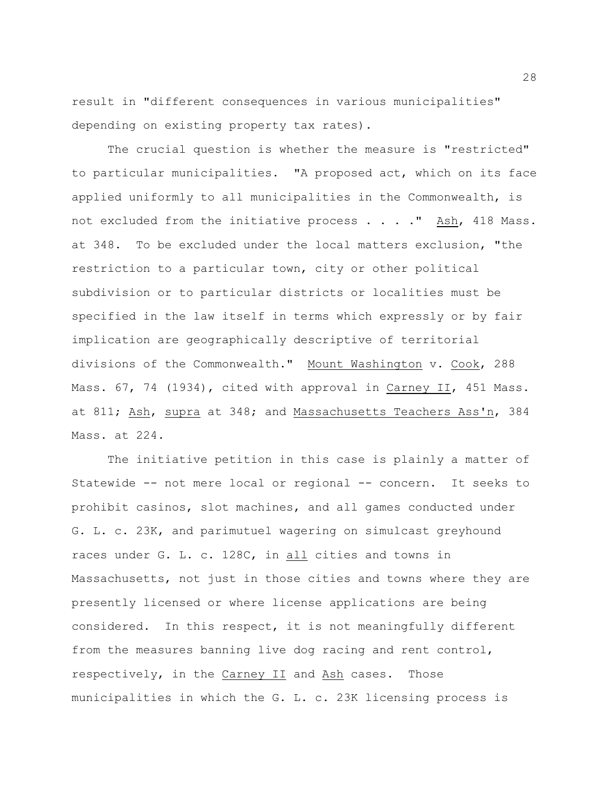result in "different consequences in various municipalities" depending on existing property tax rates).

The crucial question is whether the measure is "restricted" to particular municipalities. "A proposed act, which on its face applied uniformly to all municipalities in the Commonwealth, is not excluded from the initiative process  $\ldots$  . . The Ash, 418 Mass. at 348. To be excluded under the local matters exclusion, "the restriction to a particular town, city or other political subdivision or to particular districts or localities must be specified in the law itself in terms which expressly or by fair implication are geographically descriptive of territorial divisions of the Commonwealth." Mount Washington v. Cook, 288 Mass. 67, 74 (1934), cited with approval in Carney II, 451 Mass. at 811; Ash, supra at 348; and Massachusetts Teachers Ass'n, 384 Mass. at 224.

The initiative petition in this case is plainly a matter of Statewide -- not mere local or regional -- concern. It seeks to prohibit casinos, slot machines, and all games conducted under G. L. c. 23K, and parimutuel wagering on simulcast greyhound races under G. L. c. 128C, in all cities and towns in Massachusetts, not just in those cities and towns where they are presently licensed or where license applications are being considered. In this respect, it is not meaningfully different from the measures banning live dog racing and rent control, respectively, in the Carney II and Ash cases. Those municipalities in which the G. L. c. 23K licensing process is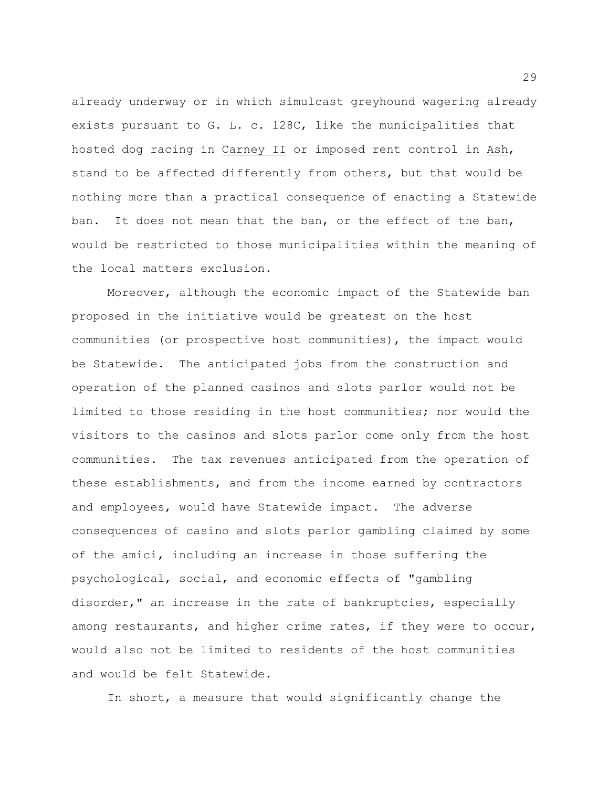already underway or in which simulcast greyhound wagering already exists pursuant to G. L. c. 128C, like the municipalities that hosted dog racing in Carney II or imposed rent control in Ash, stand to be affected differently from others, but that would be nothing more than a practical consequence of enacting a Statewide ban. It does not mean that the ban, or the effect of the ban, would be restricted to those municipalities within the meaning of the local matters exclusion.

Moreover, although the economic impact of the Statewide ban proposed in the initiative would be greatest on the host communities (or prospective host communities), the impact would be Statewide. The anticipated jobs from the construction and operation of the planned casinos and slots parlor would not be limited to those residing in the host communities; nor would the visitors to the casinos and slots parlor come only from the host communities. The tax revenues anticipated from the operation of these establishments, and from the income earned by contractors and employees, would have Statewide impact. The adverse consequences of casino and slots parlor gambling claimed by some of the amici, including an increase in those suffering the psychological, social, and economic effects of "gambling disorder," an increase in the rate of bankruptcies, especially among restaurants, and higher crime rates, if they were to occur, would also not be limited to residents of the host communities and would be felt Statewide.

In short, a measure that would significantly change the

29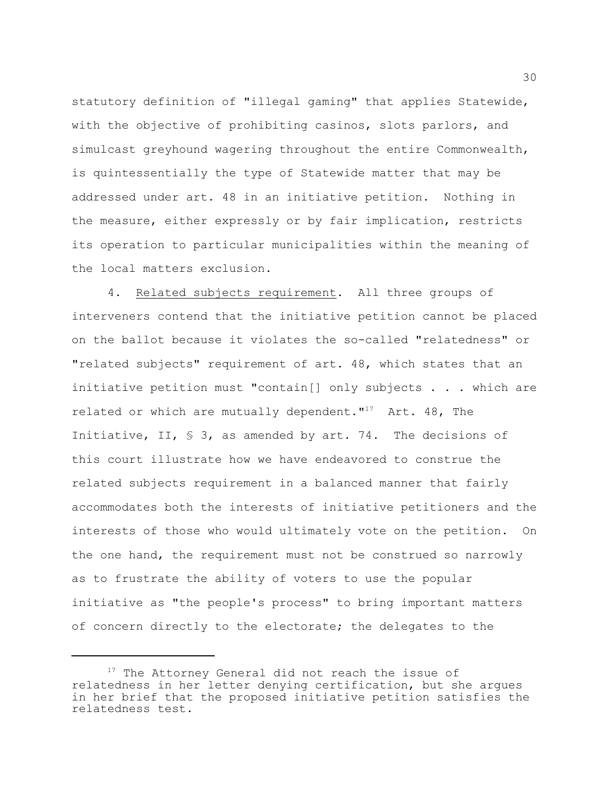statutory definition of "illegal gaming" that applies Statewide, with the objective of prohibiting casinos, slots parlors, and simulcast greyhound wagering throughout the entire Commonwealth, is quintessentially the type of Statewide matter that may be addressed under art. 48 in an initiative petition. Nothing in the measure, either expressly or by fair implication, restricts its operation to particular municipalities within the meaning of the local matters exclusion.

4. Related subjects requirement. All three groups of interveners contend that the initiative petition cannot be placed on the ballot because it violates the so-called "relatedness" or "related subjects" requirement of art. 48, which states that an initiative petition must "contain[] only subjects . . . which are related or which are mutually dependent."<sup>17</sup> Art. 48, The Initiative, II, § 3, as amended by art. 74. The decisions of this court illustrate how we have endeavored to construe the related subjects requirement in a balanced manner that fairly accommodates both the interests of initiative petitioners and the interests of those who would ultimately vote on the petition. On the one hand, the requirement must not be construed so narrowly as to frustrate the ability of voters to use the popular initiative as "the people's process" to bring important matters of concern directly to the electorate; the delegates to the

 $17$  The Attorney General did not reach the issue of relatedness in her letter denying certification, but she argues in her brief that the proposed initiative petition satisfies the relatedness test.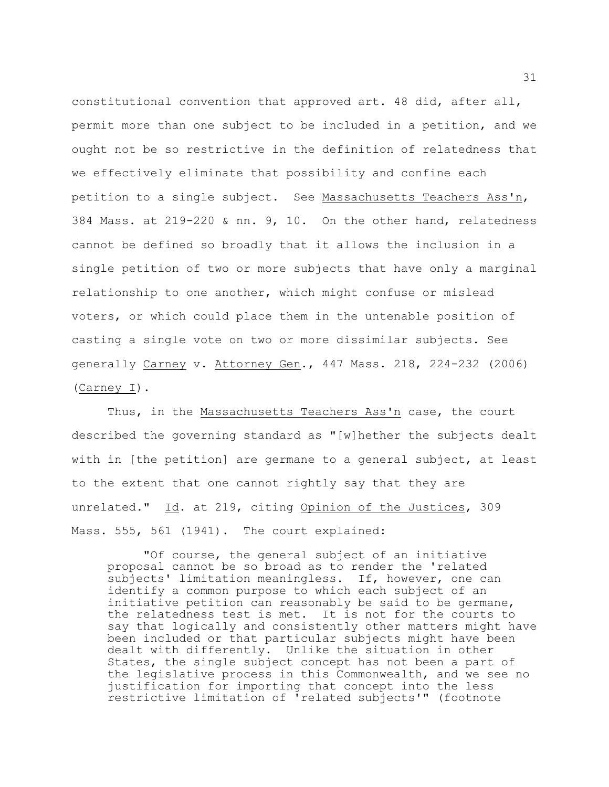constitutional convention that approved art. 48 did, after all, permit more than one subject to be included in a petition, and we ought not be so restrictive in the definition of relatedness that we effectively eliminate that possibility and confine each petition to a single subject. See Massachusetts Teachers Ass'n, 384 Mass. at 219-220 & nn. 9, 10. On the other hand, relatedness cannot be defined so broadly that it allows the inclusion in a single petition of two or more subjects that have only a marginal relationship to one another, which might confuse or mislead voters, or which could place them in the untenable position of casting a single vote on two or more dissimilar subjects. See generally Carney v. Attorney Gen., 447 Mass. 218, 224-232 (2006) (Carney I).

Thus, in the Massachusetts Teachers Ass'n case, the court described the governing standard as "[w]hether the subjects dealt with in [the petition] are germane to a general subject, at least to the extent that one cannot rightly say that they are unrelated." Id. at 219, citing Opinion of the Justices, 309 Mass. 555, 561 (1941). The court explained:

"Of course, the general subject of an initiative proposal cannot be so broad as to render the 'related subjects' limitation meaningless. If, however, one can identify a common purpose to which each subject of an initiative petition can reasonably be said to be germane, the relatedness test is met. It is not for the courts to say that logically and consistently other matters might have been included or that particular subjects might have been dealt with differently. Unlike the situation in other States, the single subject concept has not been a part of the legislative process in this Commonwealth, and we see no justification for importing that concept into the less restrictive limitation of 'related subjects'" (footnote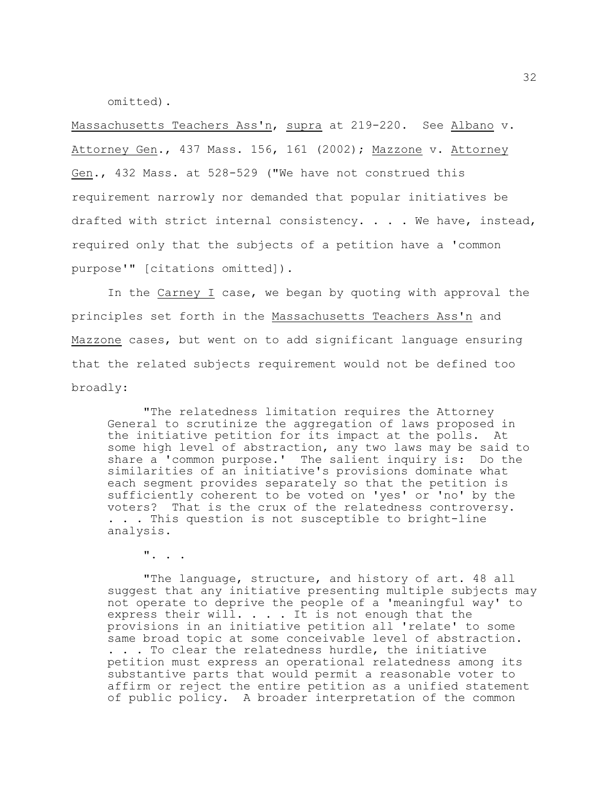omitted).

Massachusetts Teachers Ass'n, supra at 219-220. See Albano v. Attorney Gen., 437 Mass. 156, 161 (2002); Mazzone v. Attorney Gen., 432 Mass. at 528-529 ("We have not construed this requirement narrowly nor demanded that popular initiatives be drafted with strict internal consistency. . . . We have, instead, required only that the subjects of a petition have a 'common purpose'" [citations omitted]).

In the Carney I case, we began by quoting with approval the principles set forth in the Massachusetts Teachers Ass'n and Mazzone cases, but went on to add significant language ensuring that the related subjects requirement would not be defined too broadly:

"The relatedness limitation requires the Attorney General to scrutinize the aggregation of laws proposed in the initiative petition for its impact at the polls. At some high level of abstraction, any two laws may be said to share a 'common purpose.' The salient inquiry is: Do the similarities of an initiative's provisions dominate what each segment provides separately so that the petition is sufficiently coherent to be voted on 'yes' or 'no' by the voters? That is the crux of the relatedness controversy. . . . This question is not susceptible to bright-line analysis.

". . .

"The language, structure, and history of art. 48 all suggest that any initiative presenting multiple subjects may not operate to deprive the people of a 'meaningful way' to express their will.  $\ldots$  . It is not enough that the provisions in an initiative petition all 'relate' to some same broad topic at some conceivable level of abstraction. . . . To clear the relatedness hurdle, the initiative petition must express an operational relatedness among its substantive parts that would permit a reasonable voter to affirm or reject the entire petition as a unified statement of public policy. A broader interpretation of the common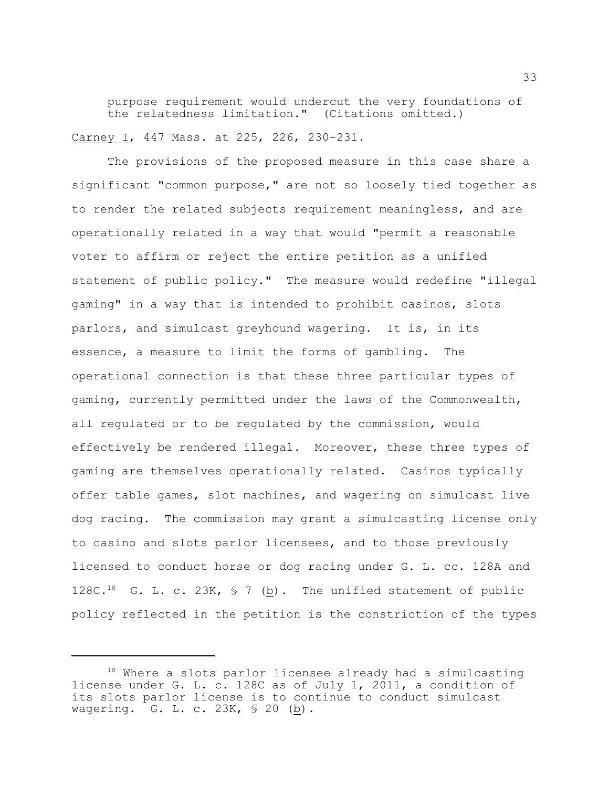purpose requirement would undercut the very foundations of the relatedness limitation." (Citations omitted.) Carney I, 447 Mass. at 225, 226, 230-231.

The provisions of the proposed measure in this case share a significant "common purpose," are not so loosely tied together as to render the related subjects requirement meaningless, and are operationally related in a way that would "permit a reasonable voter to affirm or reject the entire petition as a unified statement of public policy." The measure would redefine "illegal gaming" in a way that is intended to prohibit casinos, slots parlors, and simulcast greyhound wagering. It is, in its essence, a measure to limit the forms of gambling. The operational connection is that these three particular types of gaming, currently permitted under the laws of the Commonwealth, all regulated or to be regulated by the commission, would effectively be rendered illegal. Moreover, these three types of gaming are themselves operationally related. Casinos typically offer table games, slot machines, and wagering on simulcast live dog racing. The commission may grant a simulcasting license only to casino and slots parlor licensees, and to those previously licensed to conduct horse or dog racing under G. L. cc. 128A and 128C.<sup>18</sup> G. L. c. 23K,  $\frac{18}{5}$  (b). The unified statement of public policy reflected in the petition is the constriction of the types

 $18$  Where a slots parlor licensee already had a simulcasting license under G. L. c. 128C as of July 1, 2011, a condition of its slots parlor license is to continue to conduct simulcast wagering. G. L. c. 23K, § 20 (b).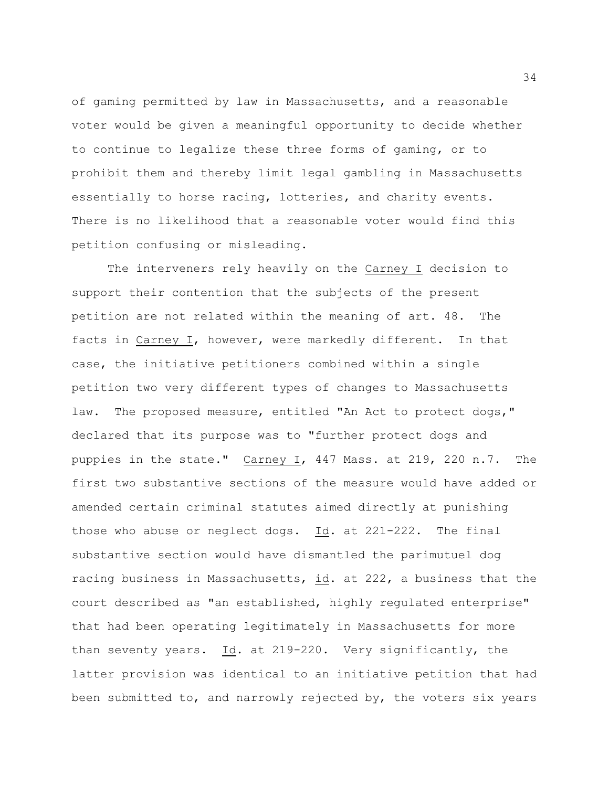of gaming permitted by law in Massachusetts, and a reasonable voter would be given a meaningful opportunity to decide whether to continue to legalize these three forms of gaming, or to prohibit them and thereby limit legal gambling in Massachusetts essentially to horse racing, lotteries, and charity events. There is no likelihood that a reasonable voter would find this petition confusing or misleading.

The interveners rely heavily on the Carney I decision to support their contention that the subjects of the present petition are not related within the meaning of art. 48. The facts in Carney I, however, were markedly different. In that case, the initiative petitioners combined within a single petition two very different types of changes to Massachusetts law. The proposed measure, entitled "An Act to protect dogs," declared that its purpose was to "further protect dogs and puppies in the state." Carney I, 447 Mass. at 219, 220 n.7. The first two substantive sections of the measure would have added or amended certain criminal statutes aimed directly at punishing those who abuse or neglect dogs. Id. at 221-222. The final substantive section would have dismantled the parimutuel dog racing business in Massachusetts, id. at 222, a business that the court described as "an established, highly regulated enterprise" that had been operating legitimately in Massachusetts for more than seventy years. Id. at 219-220. Very significantly, the latter provision was identical to an initiative petition that had been submitted to, and narrowly rejected by, the voters six years

34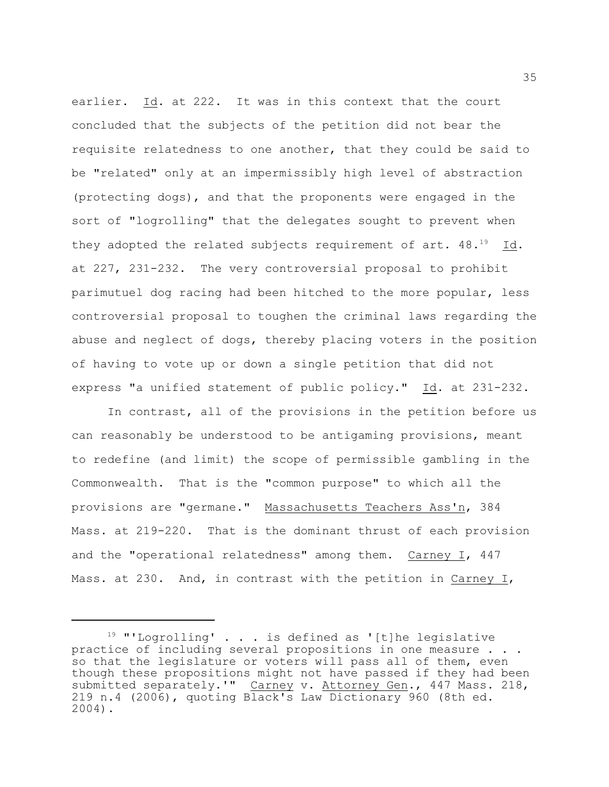earlier. Id. at 222. It was in this context that the court concluded that the subjects of the petition did not bear the requisite relatedness to one another, that they could be said to be "related" only at an impermissibly high level of abstraction (protecting dogs), and that the proponents were engaged in the sort of "logrolling" that the delegates sought to prevent when they adopted the related subjects requirement of art.  $48.^{19}$  Id. at 227, 231-232. The very controversial proposal to prohibit parimutuel dog racing had been hitched to the more popular, less controversial proposal to toughen the criminal laws regarding the abuse and neglect of dogs, thereby placing voters in the position of having to vote up or down a single petition that did not express "a unified statement of public policy." Id. at 231-232.

In contrast, all of the provisions in the petition before us can reasonably be understood to be antigaming provisions, meant to redefine (and limit) the scope of permissible gambling in the Commonwealth. That is the "common purpose" to which all the provisions are "germane." Massachusetts Teachers Ass'n, 384 Mass. at 219-220. That is the dominant thrust of each provision and the "operational relatedness" among them. Carney I, 447 Mass. at 230. And, in contrast with the petition in Carney I,

 $19$  "'Logrolling' . . . is defined as '[t]he legislative practice of including several propositions in one measure . . . so that the legislature or voters will pass all of them, even though these propositions might not have passed if they had been submitted separately.'" Carney v. Attorney Gen., 447 Mass. 218, 219 n.4 (2006), quoting Black's Law Dictionary 960 (8th ed. 2004).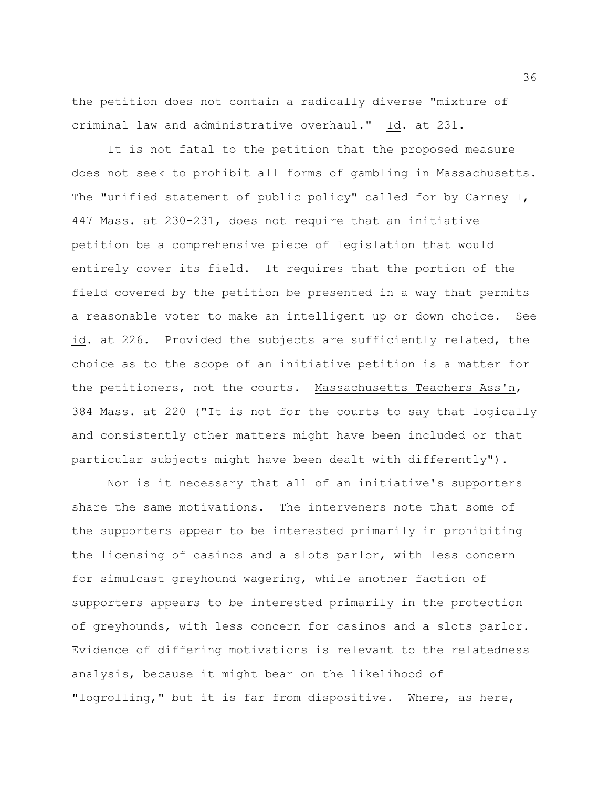the petition does not contain a radically diverse "mixture of criminal law and administrative overhaul." Id. at 231.

It is not fatal to the petition that the proposed measure does not seek to prohibit all forms of gambling in Massachusetts. The "unified statement of public policy" called for by Carney I, 447 Mass. at 230-231, does not require that an initiative petition be a comprehensive piece of legislation that would entirely cover its field. It requires that the portion of the field covered by the petition be presented in a way that permits a reasonable voter to make an intelligent up or down choice. See id. at 226. Provided the subjects are sufficiently related, the choice as to the scope of an initiative petition is a matter for the petitioners, not the courts. Massachusetts Teachers Ass'n, 384 Mass. at 220 ("It is not for the courts to say that logically and consistently other matters might have been included or that particular subjects might have been dealt with differently").

Nor is it necessary that all of an initiative's supporters share the same motivations. The interveners note that some of the supporters appear to be interested primarily in prohibiting the licensing of casinos and a slots parlor, with less concern for simulcast greyhound wagering, while another faction of supporters appears to be interested primarily in the protection of greyhounds, with less concern for casinos and a slots parlor. Evidence of differing motivations is relevant to the relatedness analysis, because it might bear on the likelihood of "logrolling," but it is far from dispositive. Where, as here,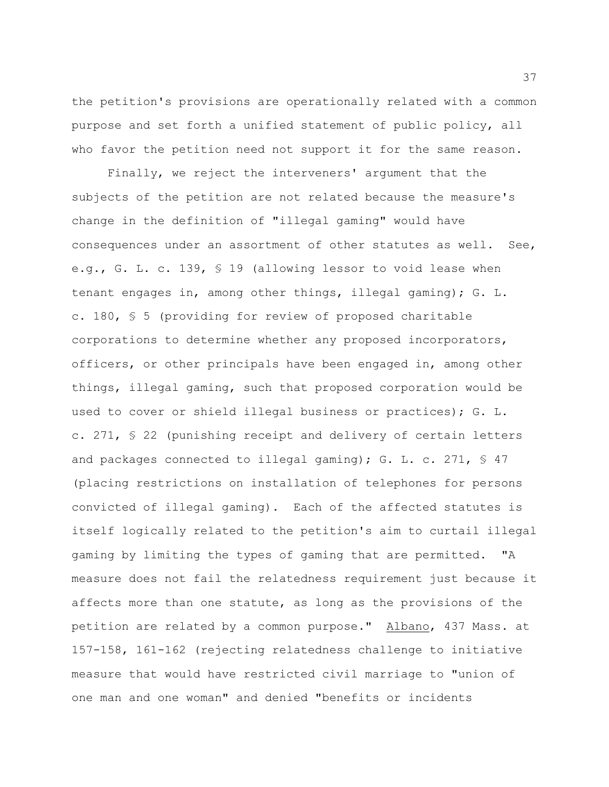the petition's provisions are operationally related with a common purpose and set forth a unified statement of public policy, all who favor the petition need not support it for the same reason.

Finally, we reject the interveners' argument that the subjects of the petition are not related because the measure's change in the definition of "illegal gaming" would have consequences under an assortment of other statutes as well. See, e.g., G. L. c. 139, § 19 (allowing lessor to void lease when tenant engages in, among other things, illegal gaming); G. L. c. 180, § 5 (providing for review of proposed charitable corporations to determine whether any proposed incorporators, officers, or other principals have been engaged in, among other things, illegal gaming, such that proposed corporation would be used to cover or shield illegal business or practices); G. L. c. 271, § 22 (punishing receipt and delivery of certain letters and packages connected to illegal gaming); G. L. c. 271,  $\$\,47$ (placing restrictions on installation of telephones for persons convicted of illegal gaming). Each of the affected statutes is itself logically related to the petition's aim to curtail illegal gaming by limiting the types of gaming that are permitted. "A measure does not fail the relatedness requirement just because it affects more than one statute, as long as the provisions of the petition are related by a common purpose." Albano, 437 Mass. at 157-158, 161-162 (rejecting relatedness challenge to initiative measure that would have restricted civil marriage to "union of one man and one woman" and denied "benefits or incidents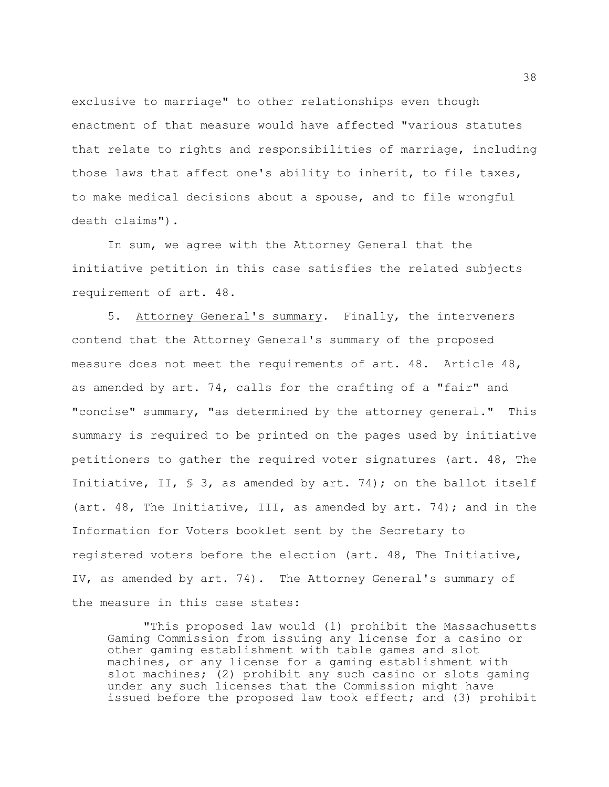exclusive to marriage" to other relationships even though enactment of that measure would have affected "various statutes that relate to rights and responsibilities of marriage, including those laws that affect one's ability to inherit, to file taxes, to make medical decisions about a spouse, and to file wrongful death claims").

In sum, we agree with the Attorney General that the initiative petition in this case satisfies the related subjects requirement of art. 48.

5. Attorney General's summary. Finally, the interveners contend that the Attorney General's summary of the proposed measure does not meet the requirements of art. 48. Article 48, as amended by art. 74, calls for the crafting of a "fair" and "concise" summary, "as determined by the attorney general." This summary is required to be printed on the pages used by initiative petitioners to gather the required voter signatures (art. 48, The Initiative, II,  $\frac{1}{5}$  3, as amended by art. 74); on the ballot itself (art. 48, The Initiative, III, as amended by art. 74); and in the Information for Voters booklet sent by the Secretary to registered voters before the election (art. 48, The Initiative, IV, as amended by art. 74). The Attorney General's summary of the measure in this case states:

"This proposed law would (1) prohibit the Massachusetts Gaming Commission from issuing any license for a casino or other gaming establishment with table games and slot machines, or any license for a gaming establishment with slot machines; (2) prohibit any such casino or slots gaming under any such licenses that the Commission might have issued before the proposed law took effect; and (3) prohibit

38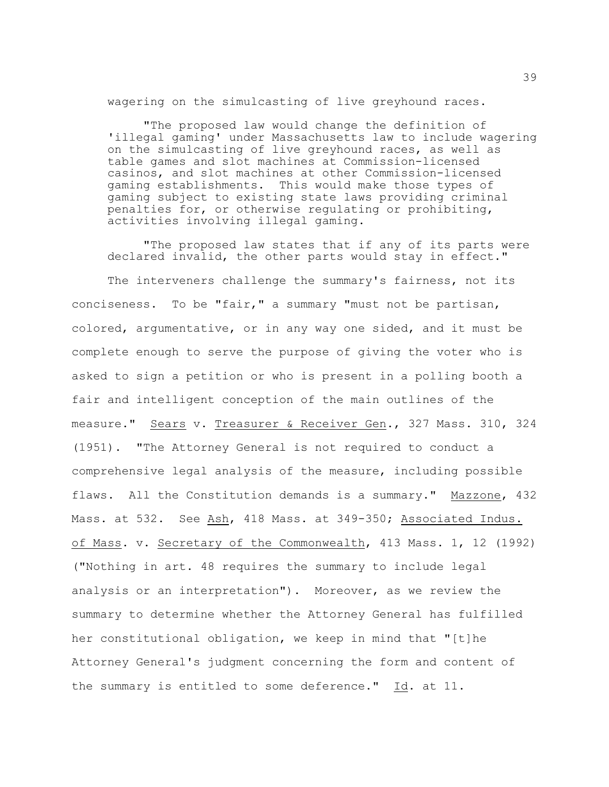wagering on the simulcasting of live greyhound races.

"The proposed law would change the definition of 'illegal gaming' under Massachusetts law to include wagering on the simulcasting of live greyhound races, as well as table games and slot machines at Commission-licensed casinos, and slot machines at other Commission-licensed gaming establishments. This would make those types of gaming subject to existing state laws providing criminal penalties for, or otherwise regulating or prohibiting, activities involving illegal gaming.

"The proposed law states that if any of its parts were declared invalid, the other parts would stay in effect."

The interveners challenge the summary's fairness, not its conciseness. To be "fair," a summary "must not be partisan, colored, argumentative, or in any way one sided, and it must be complete enough to serve the purpose of giving the voter who is asked to sign a petition or who is present in a polling booth a fair and intelligent conception of the main outlines of the measure." Sears v. Treasurer & Receiver Gen., 327 Mass. 310, 324 (1951). "The Attorney General is not required to conduct a comprehensive legal analysis of the measure, including possible flaws. All the Constitution demands is a summary." Mazzone, 432 Mass. at 532. See Ash, 418 Mass. at 349-350; Associated Indus. of Mass. v. Secretary of the Commonwealth, 413 Mass. 1, 12 (1992) ("Nothing in art. 48 requires the summary to include legal analysis or an interpretation"). Moreover, as we review the summary to determine whether the Attorney General has fulfilled her constitutional obligation, we keep in mind that "[t]he Attorney General's judgment concerning the form and content of the summary is entitled to some deference." Id. at 11.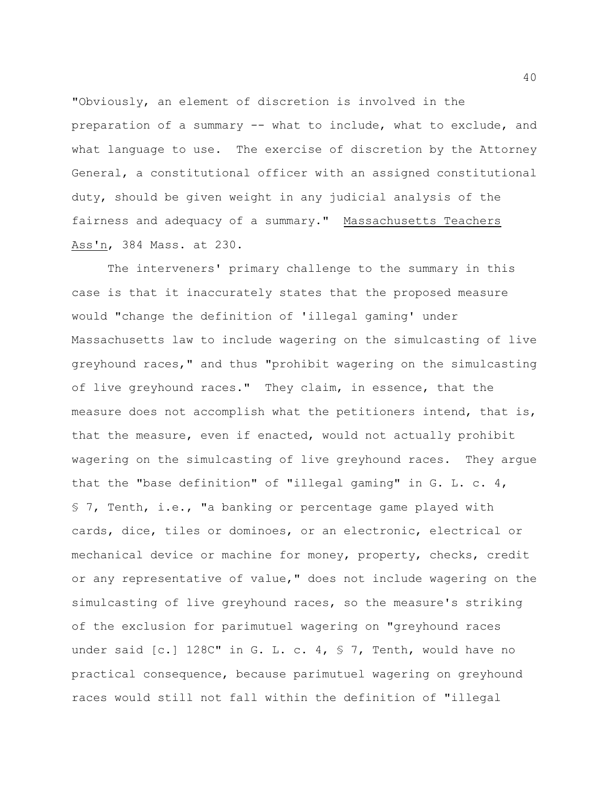"Obviously, an element of discretion is involved in the preparation of a summary -- what to include, what to exclude, and what language to use. The exercise of discretion by the Attorney General, a constitutional officer with an assigned constitutional duty, should be given weight in any judicial analysis of the fairness and adequacy of a summary." Massachusetts Teachers Ass'n, 384 Mass. at 230.

The interveners' primary challenge to the summary in this case is that it inaccurately states that the proposed measure would "change the definition of 'illegal gaming' under Massachusetts law to include wagering on the simulcasting of live greyhound races," and thus "prohibit wagering on the simulcasting of live greyhound races." They claim, in essence, that the measure does not accomplish what the petitioners intend, that is, that the measure, even if enacted, would not actually prohibit wagering on the simulcasting of live greyhound races. They argue that the "base definition" of "illegal gaming" in  $G. L. c. 4$ , § 7, Tenth, i.e., "a banking or percentage game played with cards, dice, tiles or dominoes, or an electronic, electrical or mechanical device or machine for money, property, checks, credit or any representative of value," does not include wagering on the simulcasting of live greyhound races, so the measure's striking of the exclusion for parimutuel wagering on "greyhound races under said [c.] 128C" in G. L. c. 4, § 7, Tenth, would have no practical consequence, because parimutuel wagering on greyhound races would still not fall within the definition of "illegal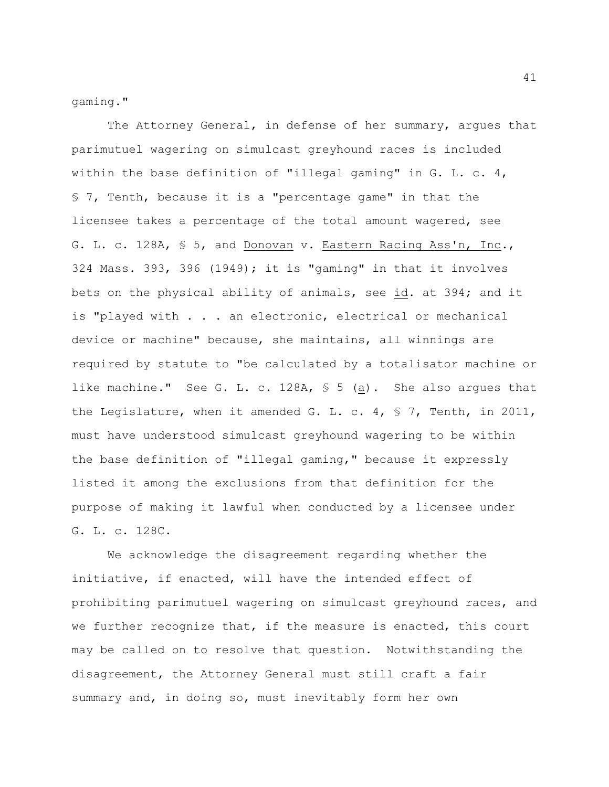gaming."

The Attorney General, in defense of her summary, argues that parimutuel wagering on simulcast greyhound races is included within the base definition of "illegal gaming" in  $G. L. c. 4$ , § 7, Tenth, because it is a "percentage game" in that the licensee takes a percentage of the total amount wagered, see G. L. c. 128A, § 5, and Donovan v. Eastern Racing Ass'n, Inc., 324 Mass. 393, 396 (1949); it is "gaming" in that it involves bets on the physical ability of animals, see id. at 394; and it is "played with . . . an electronic, electrical or mechanical device or machine" because, she maintains, all winnings are required by statute to "be calculated by a totalisator machine or like machine." See G. L. c. 128A,  $\frac{1}{5}$  (a). She also argues that the Legislature, when it amended G. L. c. 4,  $\frac{1}{5}$  7, Tenth, in 2011, must have understood simulcast greyhound wagering to be within the base definition of "illegal gaming," because it expressly listed it among the exclusions from that definition for the purpose of making it lawful when conducted by a licensee under G. L. c. 128C.

We acknowledge the disagreement regarding whether the initiative, if enacted, will have the intended effect of prohibiting parimutuel wagering on simulcast greyhound races, and we further recognize that, if the measure is enacted, this court may be called on to resolve that question. Notwithstanding the disagreement, the Attorney General must still craft a fair summary and, in doing so, must inevitably form her own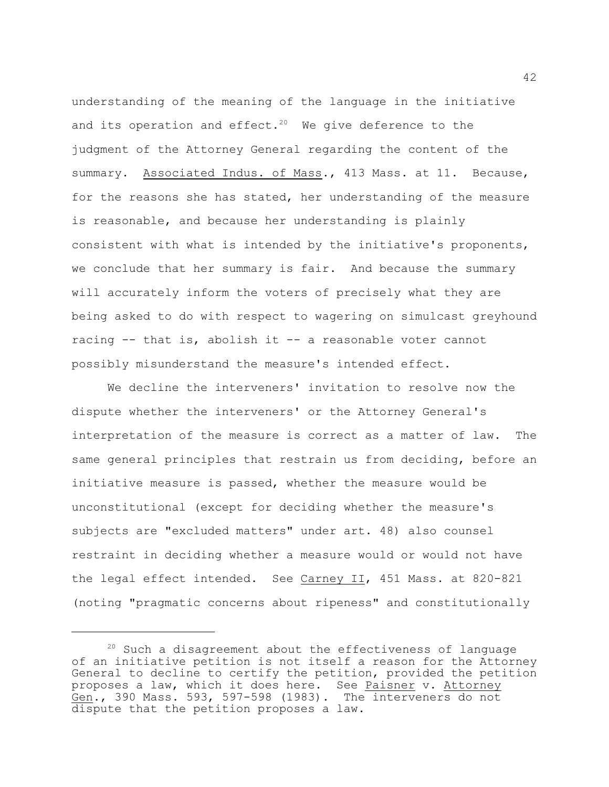understanding of the meaning of the language in the initiative and its operation and effect.<sup>20</sup> We give deference to the judgment of the Attorney General regarding the content of the summary. Associated Indus. of Mass., 413 Mass. at 11. Because, for the reasons she has stated, her understanding of the measure is reasonable, and because her understanding is plainly consistent with what is intended by the initiative's proponents, we conclude that her summary is fair. And because the summary will accurately inform the voters of precisely what they are being asked to do with respect to wagering on simulcast greyhound racing -- that is, abolish it -- a reasonable voter cannot possibly misunderstand the measure's intended effect.

We decline the interveners' invitation to resolve now the dispute whether the interveners' or the Attorney General's interpretation of the measure is correct as a matter of law. The same general principles that restrain us from deciding, before an initiative measure is passed, whether the measure would be unconstitutional (except for deciding whether the measure's subjects are "excluded matters" under art. 48) also counsel restraint in deciding whether a measure would or would not have the legal effect intended. See Carney II, 451 Mass. at 820-821 (noting "pragmatic concerns about ripeness" and constitutionally

 $20$  Such a disagreement about the effectiveness of language of an initiative petition is not itself a reason for the Attorney General to decline to certify the petition, provided the petition proposes a law, which it does here. See Paisner v. Attorney Gen., 390 Mass. 593, 597-598 (1983). The interveners do not dispute that the petition proposes a law.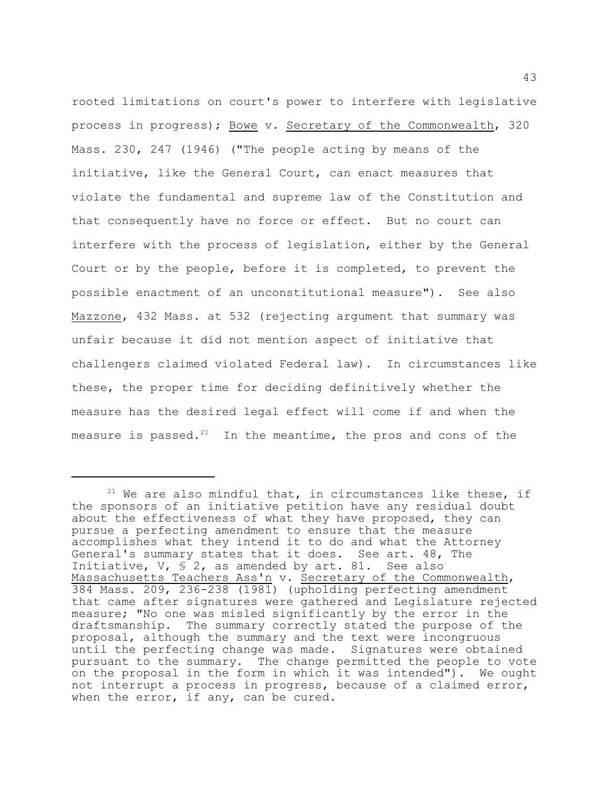rooted limitations on court's power to interfere with legislative process in progress); Bowe v. Secretary of the Commonwealth, 320 Mass. 230, 247 (1946) ("The people acting by means of the initiative, like the General Court, can enact measures that violate the fundamental and supreme law of the Constitution and that consequently have no force or effect. But no court can interfere with the process of legislation, either by the General Court or by the people, before it is completed, to prevent the possible enactment of an unconstitutional measure"). See also Mazzone, 432 Mass. at 532 (rejecting argument that summary was unfair because it did not mention aspect of initiative that challengers claimed violated Federal law). In circumstances like these, the proper time for deciding definitively whether the measure has the desired legal effect will come if and when the measure is passed. $21$  In the meantime, the pros and cons of the

 $21$  We are also mindful that, in circumstances like these, if the sponsors of an initiative petition have any residual doubt about the effectiveness of what they have proposed, they can pursue a perfecting amendment to ensure that the measure accomplishes what they intend it to do and what the Attorney General's summary states that it does. See art. 48, The Initiative, V,  $\frac{1}{2}$ , as amended by art. 81. See also Massachusetts Teachers Ass'n v. Secretary of the Commonwealth, 384 Mass. 209, 236-238 (1981) (upholding perfecting amendment that came after signatures were gathered and Legislature rejected measure; "No one was misled significantly by the error in the draftsmanship. The summary correctly stated the purpose of the proposal, although the summary and the text were incongruous until the perfecting change was made. Signatures were obtained pursuant to the summary. The change permitted the people to vote on the proposal in the form in which it was intended"). We ought not interrupt a process in progress, because of a claimed error, when the error, if any, can be cured.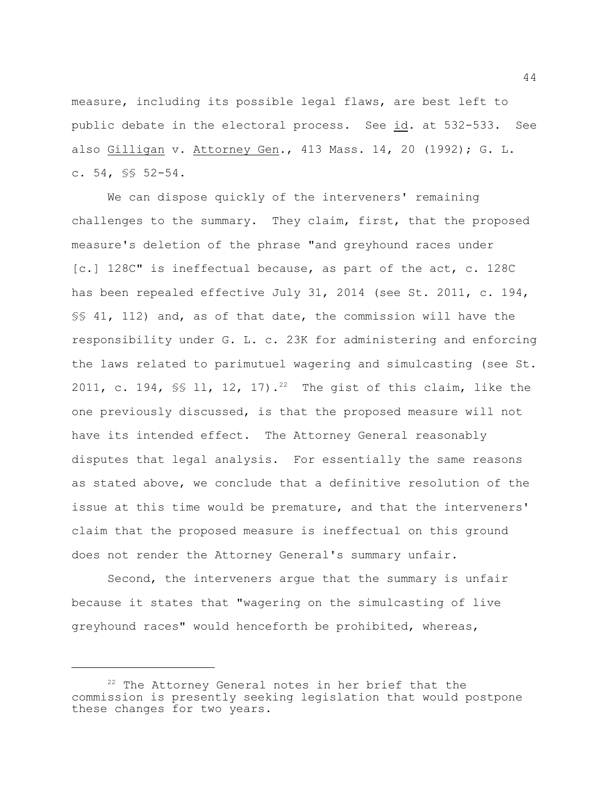measure, including its possible legal flaws, are best left to public debate in the electoral process. See id. at 532-533. See also Gilligan v. Attorney Gen., 413 Mass. 14, 20 (1992); G. L. c. 54, §§ 52-54.

We can dispose quickly of the interveners' remaining challenges to the summary. They claim, first, that the proposed measure's deletion of the phrase "and greyhound races under [c.] 128C" is ineffectual because, as part of the act, c. 128C has been repealed effective July 31, 2014 (see St. 2011, c. 194, §§ 41, 112) and, as of that date, the commission will have the responsibility under G. L. c. 23K for administering and enforcing the laws related to parimutuel wagering and simulcasting (see St. 2011, c. 194,  $\frac{1}{5}$  11, 12, 17).<sup>22</sup> The gist of this claim, like the one previously discussed, is that the proposed measure will not have its intended effect. The Attorney General reasonably disputes that legal analysis. For essentially the same reasons as stated above, we conclude that a definitive resolution of the issue at this time would be premature, and that the interveners' claim that the proposed measure is ineffectual on this ground does not render the Attorney General's summary unfair.

Second, the interveners argue that the summary is unfair because it states that "wagering on the simulcasting of live greyhound races" would henceforth be prohibited, whereas,

 $22$  The Attorney General notes in her brief that the commission is presently seeking legislation that would postpone these changes for two years.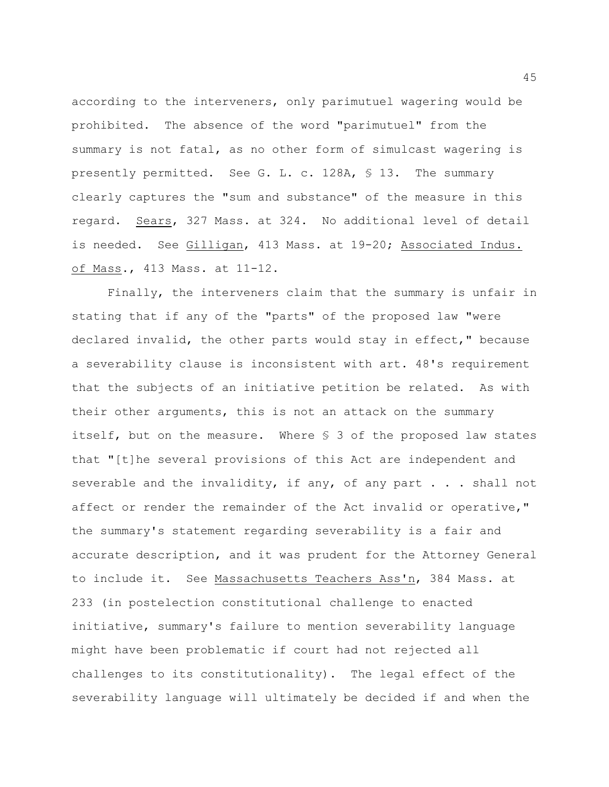according to the interveners, only parimutuel wagering would be prohibited. The absence of the word "parimutuel" from the summary is not fatal, as no other form of simulcast wagering is presently permitted. See G. L. c. 128A, § 13. The summary clearly captures the "sum and substance" of the measure in this regard. Sears, 327 Mass. at 324. No additional level of detail is needed. See Gilligan, 413 Mass. at 19-20; Associated Indus. of Mass., 413 Mass. at 11-12.

Finally, the interveners claim that the summary is unfair in stating that if any of the "parts" of the proposed law "were declared invalid, the other parts would stay in effect," because a severability clause is inconsistent with art. 48's requirement that the subjects of an initiative petition be related. As with their other arguments, this is not an attack on the summary itself, but on the measure. Where § 3 of the proposed law states that "[t]he several provisions of this Act are independent and severable and the invalidity, if any, of any part . . . shall not affect or render the remainder of the Act invalid or operative," the summary's statement regarding severability is a fair and accurate description, and it was prudent for the Attorney General to include it. See Massachusetts Teachers Ass'n, 384 Mass. at 233 (in postelection constitutional challenge to enacted initiative, summary's failure to mention severability language might have been problematic if court had not rejected all challenges to its constitutionality). The legal effect of the severability language will ultimately be decided if and when the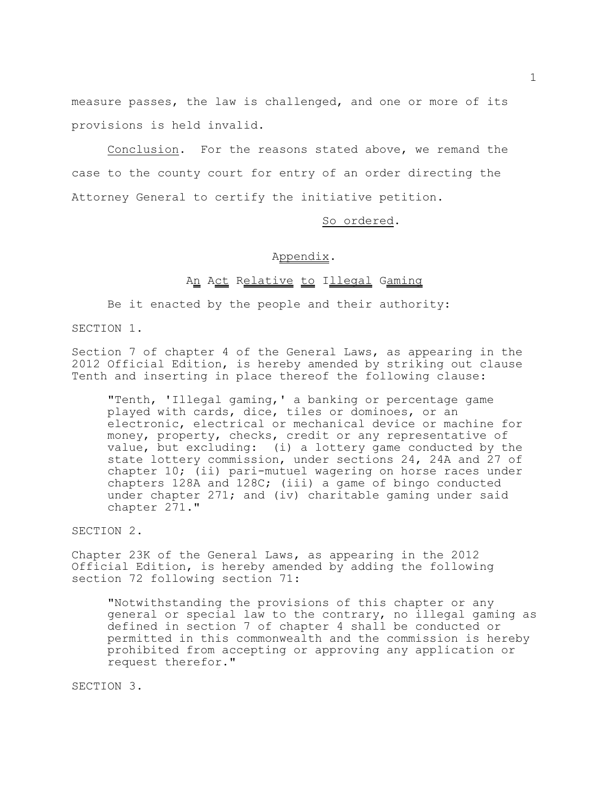measure passes, the law is challenged, and one or more of its provisions is held invalid.

Conclusion. For the reasons stated above, we remand the case to the county court for entry of an order directing the Attorney General to certify the initiative petition.

## So ordered.

## Appendix.

## An Act Relative to Illegal Gaming

Be it enacted by the people and their authority:

SECTION 1.

Section 7 of chapter 4 of the General Laws, as appearing in the 2012 Official Edition, is hereby amended by striking out clause Tenth and inserting in place thereof the following clause:

"Tenth, 'Illegal gaming,' a banking or percentage game played with cards, dice, tiles or dominoes, or an electronic, electrical or mechanical device or machine for money, property, checks, credit or any representative of value, but excluding: (i) a lottery game conducted by the state lottery commission, under sections 24, 24A and 27 of chapter 10; (ii) pari-mutuel wagering on horse races under chapters 128A and 128C; (iii) a game of bingo conducted under chapter 271; and (iv) charitable gaming under said chapter 271."

SECTION 2.

Chapter 23K of the General Laws, as appearing in the 2012 Official Edition, is hereby amended by adding the following section 72 following section 71:

"Notwithstanding the provisions of this chapter or any general or special law to the contrary, no illegal gaming as defined in section 7 of chapter 4 shall be conducted or permitted in this commonwealth and the commission is hereby prohibited from accepting or approving any application or request therefor."

SECTION 3.